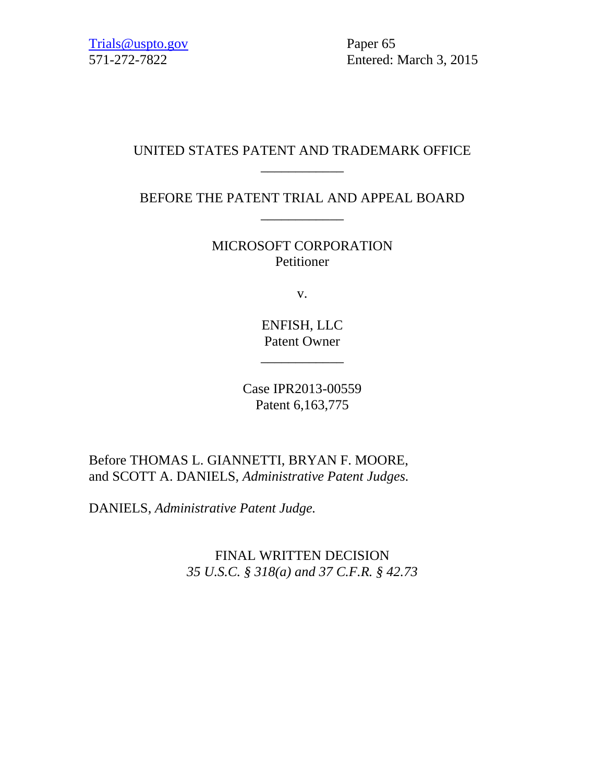571-272-7822 Entered: March 3, 2015

# UNITED STATES PATENT AND TRADEMARK OFFICE \_\_\_\_\_\_\_\_\_\_\_\_

BEFORE THE PATENT TRIAL AND APPEAL BOARD \_\_\_\_\_\_\_\_\_\_\_\_

> MICROSOFT CORPORATION Petitioner

> > v.

ENFISH, LLC Patent Owner

\_\_\_\_\_\_\_\_\_\_\_\_

Case IPR2013-00559 Patent 6,163,775

Before THOMAS L. GIANNETTI, BRYAN F. MOORE, and SCOTT A. DANIELS, *Administrative Patent Judges.*

DANIELS, *Administrative Patent Judge.*

FINAL WRITTEN DECISION *35 U.S.C. § 318(a) and 37 C.F.R. § 42.73*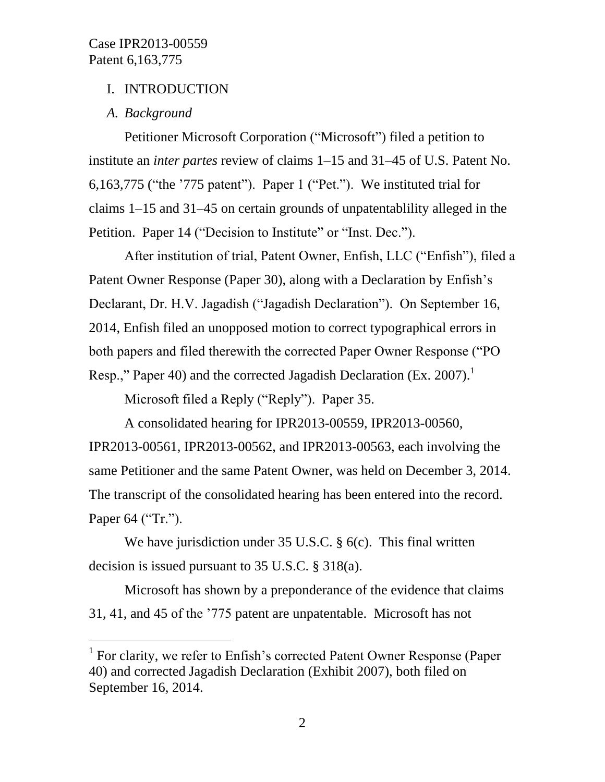# I. INTRODUCTION

# *A. Background*

l

Petitioner Microsoft Corporation ("Microsoft") filed a petition to institute an *inter partes* review of claims 1–15 and 31–45 of U.S. Patent No. 6,163,775 ("the '775 patent"). Paper 1 ("Pet."). We instituted trial for claims 1–15 and 31–45 on certain grounds of unpatentablility alleged in the Petition. Paper 14 ("Decision to Institute" or "Inst. Dec.").

After institution of trial, Patent Owner, Enfish, LLC ("Enfish"), filed a Patent Owner Response (Paper 30), along with a Declaration by Enfish's Declarant, Dr. H.V. Jagadish ("Jagadish Declaration"). On September 16, 2014, Enfish filed an unopposed motion to correct typographical errors in both papers and filed therewith the corrected Paper Owner Response ("PO Resp.," Paper 40) and the corrected Jagadish Declaration (Ex. 2007).<sup>1</sup>

Microsoft filed a Reply ("Reply"). Paper 35.

A consolidated hearing for IPR2013-00559, IPR2013-00560, IPR2013-00561, IPR2013-00562, and IPR2013-00563, each involving the same Petitioner and the same Patent Owner, was held on December 3, 2014. The transcript of the consolidated hearing has been entered into the record. Paper 64 ("Tr.").

We have jurisdiction under 35 U.S.C. § 6(c). This final written decision is issued pursuant to 35 U.S.C. § 318(a).

Microsoft has shown by a preponderance of the evidence that claims 31, 41, and 45 of the '775 patent are unpatentable. Microsoft has not

<sup>&</sup>lt;sup>1</sup> For clarity, we refer to Enfish's corrected Patent Owner Response (Paper 40) and corrected Jagadish Declaration (Exhibit 2007), both filed on September 16, 2014.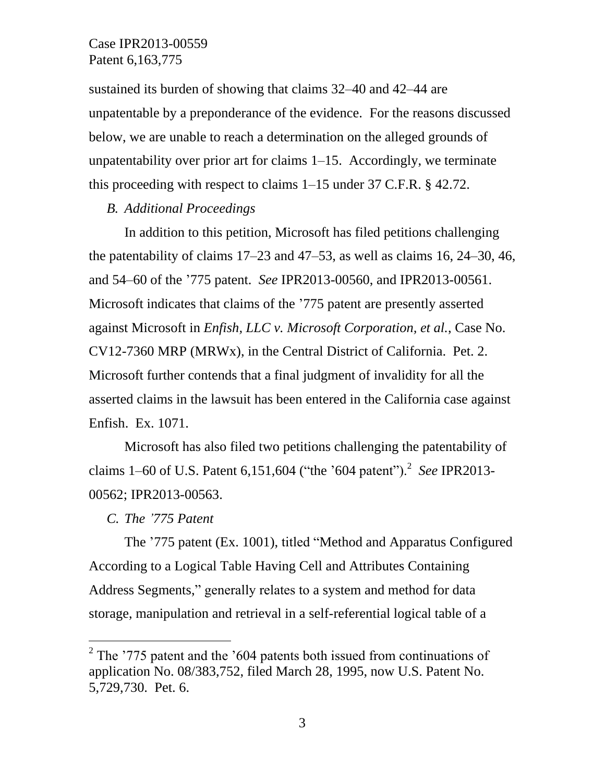sustained its burden of showing that claims 32–40 and 42–44 are unpatentable by a preponderance of the evidence. For the reasons discussed below, we are unable to reach a determination on the alleged grounds of unpatentability over prior art for claims 1–15. Accordingly, we terminate this proceeding with respect to claims 1–15 under 37 C.F.R. § 42.72.

#### *B. Additional Proceedings*

In addition to this petition, Microsoft has filed petitions challenging the patentability of claims  $17-23$  and  $47-53$ , as well as claims 16, 24–30, 46, and 54–60 of the '775 patent. *See* IPR2013-00560, and IPR2013-00561. Microsoft indicates that claims of the '775 patent are presently asserted against Microsoft in *Enfish, LLC v. Microsoft Corporation, et al.*, Case No. CV12-7360 MRP (MRWx), in the Central District of California. Pet. 2. Microsoft further contends that a final judgment of invalidity for all the asserted claims in the lawsuit has been entered in the California case against Enfish. Ex. 1071.

Microsoft has also filed two petitions challenging the patentability of claims 1–60 of U.S. Patent 6,151,604 ("the '604 patent").<sup>2</sup> See IPR2013-00562; IPR2013-00563.

#### *C. The '775 Patent*

l

The '775 patent (Ex. 1001), titled "Method and Apparatus Configured According to a Logical Table Having Cell and Attributes Containing Address Segments," generally relates to a system and method for data storage, manipulation and retrieval in a self-referential logical table of a

 $2$  The '775 patent and the '604 patents both issued from continuations of application No. 08/383,752, filed March 28, 1995, now U.S. Patent No. 5,729,730. Pet. 6.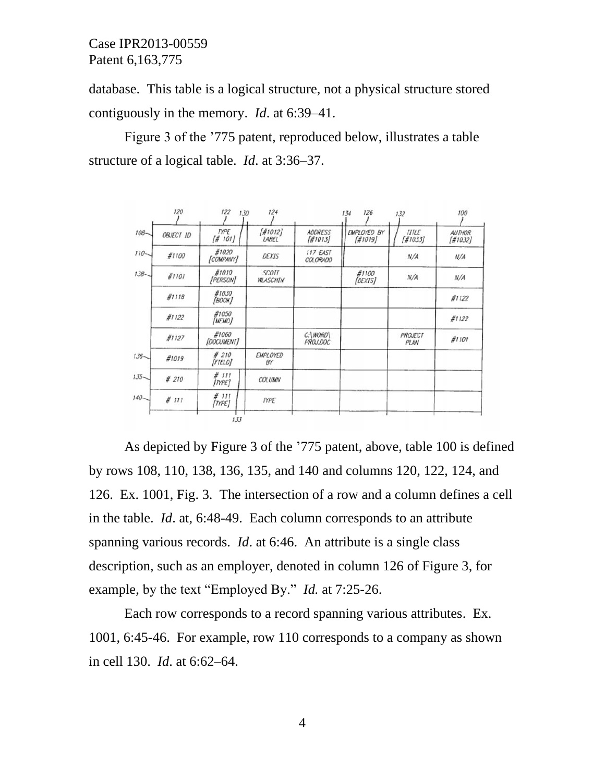database. This table is a logical structure, not a physical structure stored contiguously in the memory. *Id*. at 6:39–41.

Figure 3 of the '775 patent, reproduced below, illustrates a table structure of a logical table. *Id*. at 3:36–37.

|         | 120              | 122<br>130             | 124                         |                          | 126<br>134             | 132                     | 100                      |
|---------|------------------|------------------------|-----------------------------|--------------------------|------------------------|-------------------------|--------------------------|
| $108 -$ | <b>OBJECT 1D</b> | <b>TYPE</b><br>[# 101] | $\frac{410121}{2}$<br>LABEL | <b>ADDRESS</b><br>H1013I | EMPLOYED BY<br>[#1019] | <b>TITLE</b><br>[#1033] | <b>AUTHOR</b><br>[#1032] |
| $110 -$ | #1100            | #1020<br>[COMPANY]     | DEXIS                       | 117 EAST<br>COLORADO     |                        | N/A                     | N/A                      |
| $138 -$ | #1101            | #1010<br>[PERSON]      | <b>SCOTT</b><br>WLASCHIN    |                          | #1100<br>[DEXIS]       | N/A                     | N/A                      |
|         | #1118            | #1030<br><b>[BOOK]</b> |                             |                          |                        |                         | #1122                    |
|         | #1122            | #1050<br><b>[MEMO]</b> |                             |                          |                        |                         | #1122                    |
|         | #1127            | #1060<br>[DOCUMENT]    |                             | C:\WORD\<br>PROJ.DOC     |                        | PROJECT<br>PLAN         | #1101                    |
| $136 -$ | #1019            | #210<br>[FTELD]        | <b>EMPLOYED</b><br>BY       |                          |                        |                         |                          |
| $135 -$ | #210             | #111<br><b>ITYPE</b>   | COLUMN                      |                          |                        |                         |                          |
| $140 -$ | #111             | #111<br>[IYPE]         | <b>TYPE</b>                 |                          |                        |                         |                          |
|         |                  | 133                    |                             |                          |                        |                         |                          |

As depicted by Figure 3 of the '775 patent, above, table 100 is defined by rows 108, 110, 138, 136, 135, and 140 and columns 120, 122, 124, and 126. Ex. 1001, Fig. 3. The intersection of a row and a column defines a cell in the table. *Id*. at, 6:48-49. Each column corresponds to an attribute spanning various records. *Id*. at 6:46. An attribute is a single class description, such as an employer, denoted in column 126 of Figure 3, for example, by the text "Employed By." *Id.* at 7:25-26.

Each row corresponds to a record spanning various attributes. Ex. 1001, 6:45-46. For example, row 110 corresponds to a company as shown in cell 130. *Id*. at 6:62–64.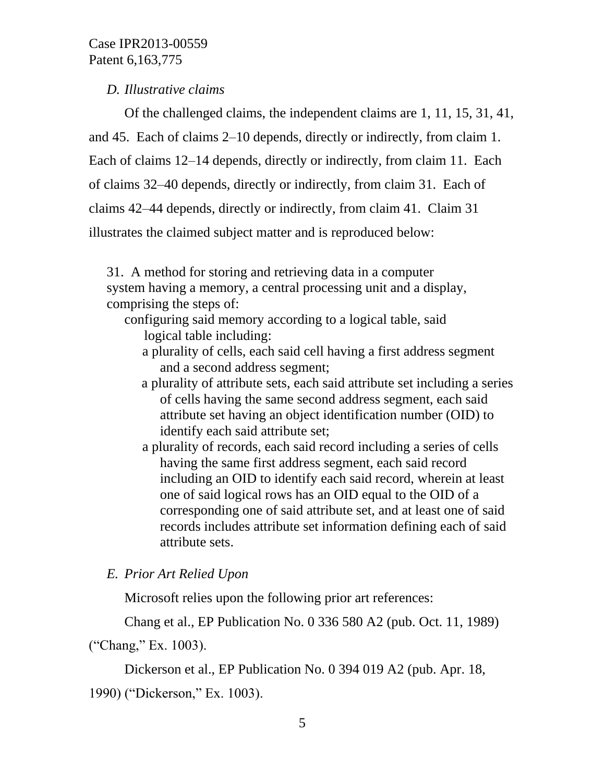*D. Illustrative claims*

Of the challenged claims, the independent claims are 1, 11, 15, 31, 41, and 45. Each of claims 2–10 depends, directly or indirectly, from claim 1. Each of claims 12–14 depends, directly or indirectly, from claim 11. Each of claims 32–40 depends, directly or indirectly, from claim 31. Each of claims 42–44 depends, directly or indirectly, from claim 41. Claim 31 illustrates the claimed subject matter and is reproduced below:

31. A method for storing and retrieving data in a computer system having a memory, a central processing unit and a display, comprising the steps of:

- configuring said memory according to a logical table, said logical table including:
	- a plurality of cells, each said cell having a first address segment and a second address segment;
	- a plurality of attribute sets, each said attribute set including a series of cells having the same second address segment, each said attribute set having an object identification number (OID) to identify each said attribute set;
	- a plurality of records, each said record including a series of cells having the same first address segment, each said record including an OID to identify each said record, wherein at least one of said logical rows has an OID equal to the OID of a corresponding one of said attribute set, and at least one of said records includes attribute set information defining each of said attribute sets.

*E. Prior Art Relied Upon*

Microsoft relies upon the following prior art references:

Chang et al., EP Publication No. 0 336 580 A2 (pub. Oct. 11, 1989)

("Chang," Ex. 1003).

Dickerson et al., EP Publication No. 0 394 019 A2 (pub. Apr. 18,

1990) ("Dickerson," Ex. 1003).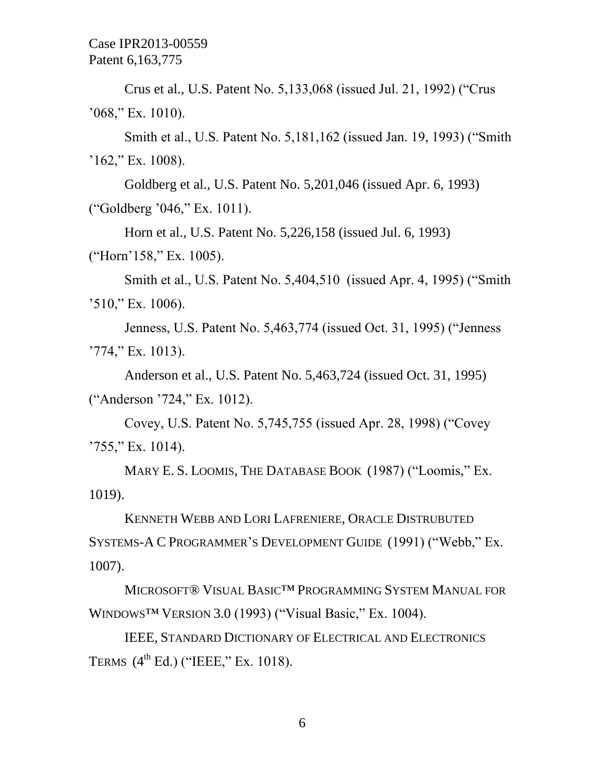Crus et al., U.S. Patent No. 5,133,068 (issued Jul. 21, 1992) ("Crus '068," Ex. 1010).

Smith et al., U.S. Patent No. 5,181,162 (issued Jan. 19, 1993) ("Smith  $162$ ," Ex. 1008).

Goldberg et al., U.S. Patent No. 5,201,046 (issued Apr. 6, 1993) ("Goldberg '046," Ex. 1011).

Horn et al., U.S. Patent No. 5,226,158 (issued Jul. 6, 1993)

("Horn'158," Ex. 1005).

Smith et al., U.S. Patent No. 5,404,510 (issued Apr. 4, 1995) ("Smith '510," Ex. 1006).

Jenness, U.S. Patent No. 5,463,774 (issued Oct. 31, 1995) ("Jenness '774," Ex. 1013).

Anderson et al., U.S. Patent No. 5,463,724 (issued Oct. 31, 1995) ("Anderson '724," Ex. 1012).

Covey, U.S. Patent No. 5,745,755 (issued Apr. 28, 1998) ("Covey  $'755$ ," Ex. 1014).

MARY E. S. LOOMIS, THE DATABASE BOOK (1987) ("Loomis," Ex. 1019).

KENNETH WEBB AND LORI LAFRENIERE, ORACLE DISTRUBUTED SYSTEMS-A C PROGRAMMER'S DEVELOPMENT GUIDE (1991) ("Webb," Ex. 1007).

MICROSOFT® VISUAL BASIC™ PROGRAMMING SYSTEM MANUAL FOR WINDOWS™ VERSION 3.0 (1993) ("Visual Basic," Ex. 1004).

IEEE, STANDARD DICTIONARY OF ELECTRICAL AND ELECTRONICS TERMS  $(4^{\text{th}}$  Ed.) ("IEEE," Ex. 1018).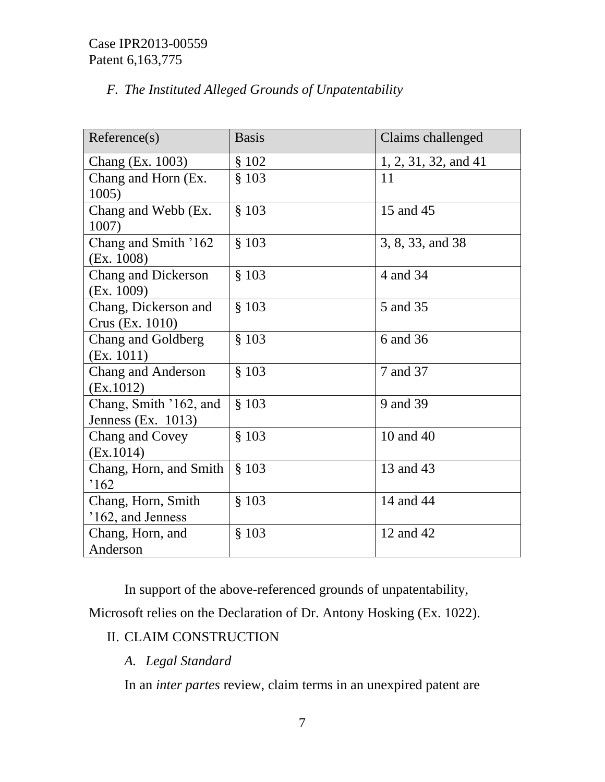# *F. The Instituted Alleged Grounds of Unpatentability*

| Reference(s)                                    | <b>Basis</b> | Claims challenged      |
|-------------------------------------------------|--------------|------------------------|
| Chang (Ex. 1003)                                | § 102        | $1, 2, 31, 32,$ and 41 |
| Chang and Horn (Ex.<br>1005)                    | \$103        | 11                     |
| Chang and Webb (Ex.<br>1007)                    | \$103        | 15 and 45              |
| Chang and Smith '162<br>(EX. 1008)              | \$103        | 3, 8, 33, and 38       |
| <b>Chang and Dickerson</b><br>(Ex. 1009)        | \$103        | 4 and 34               |
| Chang, Dickerson and<br>Crus (Ex. 1010)         | \$103        | 5 and 35               |
| Chang and Goldberg<br>(EX. 1011)                | \$103        | 6 and 36               |
| <b>Chang and Anderson</b><br>(EX.1012)          | \$103        | 7 and 37               |
| Chang, Smith '162, and<br>Jenness (Ex. $1013$ ) | \$103        | 9 and 39               |
| Chang and Covey<br>(EX.1014)                    | \$103        | 10 and 40              |
| Chang, Horn, and Smith<br>162                   | \$103        | 13 and 43              |
| Chang, Horn, Smith<br>'162, and Jenness         | \$103        | 14 and 44              |
| Chang, Horn, and<br>Anderson                    | § 103        | 12 and 42              |

In support of the above-referenced grounds of unpatentability,

Microsoft relies on the Declaration of Dr. Antony Hosking (Ex. 1022).

# II. CLAIM CONSTRUCTION

# *A. Legal Standard*

In an *inter partes* review, claim terms in an unexpired patent are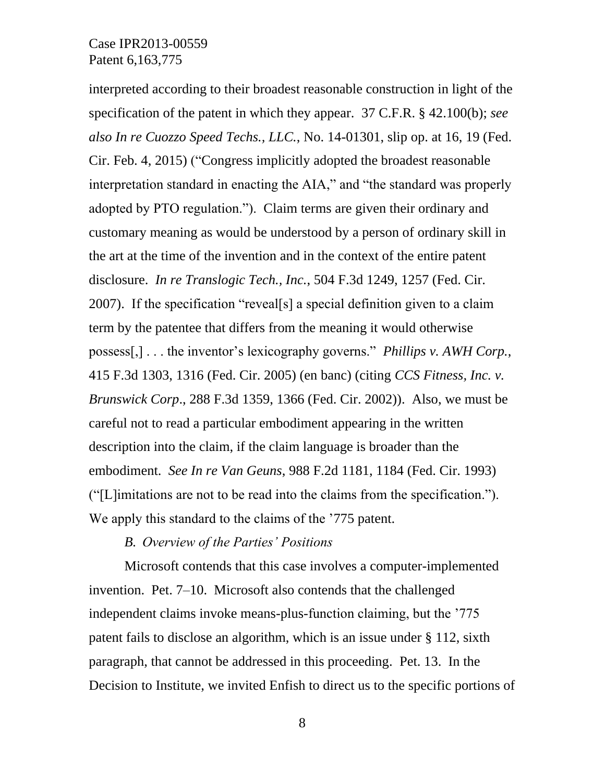interpreted according to their broadest reasonable construction in light of the specification of the patent in which they appear. 37 C.F.R. § 42.100(b); *see also In re Cuozzo Speed Techs., LLC.*, No. 14-01301, slip op. at 16, 19 (Fed. Cir. Feb. 4, 2015) ("Congress implicitly adopted the broadest reasonable interpretation standard in enacting the AIA," and "the standard was properly adopted by PTO regulation."). Claim terms are given their ordinary and customary meaning as would be understood by a person of ordinary skill in the art at the time of the invention and in the context of the entire patent disclosure. *In re Translogic Tech., Inc.*, 504 F.3d 1249, 1257 (Fed. Cir. 2007). If the specification "reveal[s] a special definition given to a claim term by the patentee that differs from the meaning it would otherwise possess[,] . . . the inventor's lexicography governs." *Phillips v. AWH Corp.*, 415 F.3d 1303, 1316 (Fed. Cir. 2005) (en banc) (citing *CCS Fitness, Inc. v. Brunswick Corp*., 288 F.3d 1359, 1366 (Fed. Cir. 2002)). Also, we must be careful not to read a particular embodiment appearing in the written description into the claim, if the claim language is broader than the embodiment. *See In re Van Geuns*, 988 F.2d 1181, 1184 (Fed. Cir. 1993) ("[L]imitations are not to be read into the claims from the specification."). We apply this standard to the claims of the '775 patent.

*B. Overview of the Parties' Positions*

Microsoft contends that this case involves a computer-implemented invention. Pet. 7–10. Microsoft also contends that the challenged independent claims invoke means-plus-function claiming, but the '775 patent fails to disclose an algorithm, which is an issue under § 112, sixth paragraph, that cannot be addressed in this proceeding. Pet. 13. In the Decision to Institute, we invited Enfish to direct us to the specific portions of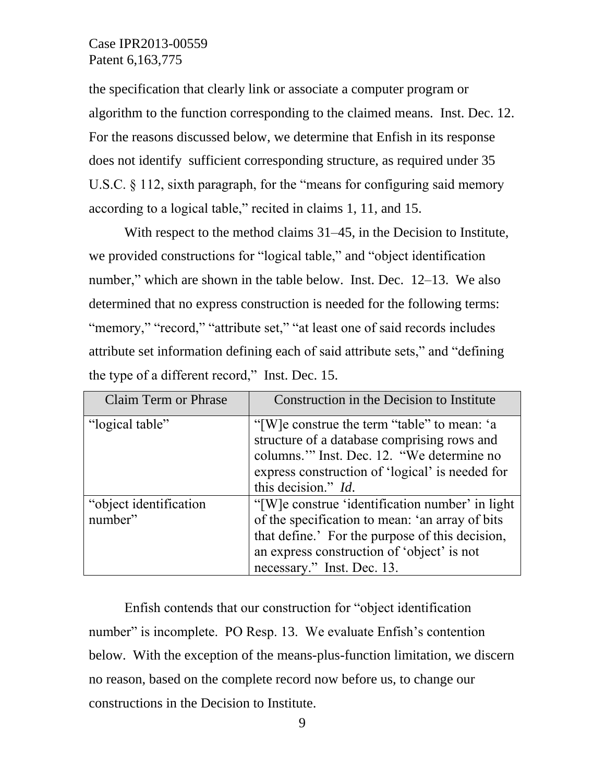the specification that clearly link or associate a computer program or algorithm to the function corresponding to the claimed means. Inst. Dec. 12. For the reasons discussed below, we determine that Enfish in its response does not identify sufficient corresponding structure, as required under 35 U.S.C. § 112, sixth paragraph, for the "means for configuring said memory according to a logical table," recited in claims 1, 11, and 15.

With respect to the method claims 31–45, in the Decision to Institute, we provided constructions for "logical table," and "object identification number," which are shown in the table below. Inst. Dec. 12–13. We also determined that no express construction is needed for the following terms: "memory," "record," "attribute set," "at least one of said records includes attribute set information defining each of said attribute sets," and "defining the type of a different record," Inst. Dec. 15.

| <b>Claim Term or Phrase</b> | Construction in the Decision to Institute                                                                                                                                                  |
|-----------------------------|--------------------------------------------------------------------------------------------------------------------------------------------------------------------------------------------|
| "logical table"             | "[W]e construe the term "table" to mean: 'a<br>structure of a database comprising rows and<br>columns." Inst. Dec. 12. "We determine no<br>express construction of 'logical' is needed for |
|                             | this decision." <i>Id.</i>                                                                                                                                                                 |
| "object identification      | "[W]e construe 'identification number' in light                                                                                                                                            |
| number"                     | of the specification to mean: 'an array of bits                                                                                                                                            |
|                             | that define.' For the purpose of this decision,                                                                                                                                            |
|                             | an express construction of 'object' is not                                                                                                                                                 |
|                             | necessary." Inst. Dec. 13.                                                                                                                                                                 |

Enfish contends that our construction for "object identification number" is incomplete. PO Resp. 13. We evaluate Enfish's contention below. With the exception of the means-plus-function limitation, we discern no reason, based on the complete record now before us, to change our constructions in the Decision to Institute.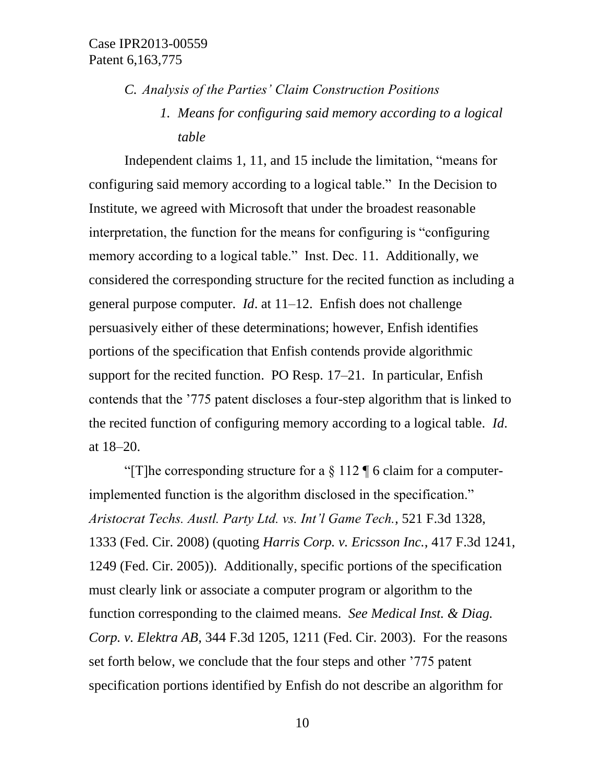*C. Analysis of the Parties' Claim Construction Positions*

*1. Means for configuring said memory according to a logical table*

Independent claims 1, 11, and 15 include the limitation, "means for configuring said memory according to a logical table." In the Decision to Institute, we agreed with Microsoft that under the broadest reasonable interpretation, the function for the means for configuring is "configuring memory according to a logical table." Inst. Dec. 11. Additionally, we considered the corresponding structure for the recited function as including a general purpose computer. *Id*. at 11–12. Enfish does not challenge persuasively either of these determinations; however, Enfish identifies portions of the specification that Enfish contends provide algorithmic support for the recited function. PO Resp. 17–21. In particular, Enfish contends that the '775 patent discloses a four-step algorithm that is linked to the recited function of configuring memory according to a logical table. *Id*. at 18–20.

"[T]he corresponding structure for a  $\S 112 \P 6$  claim for a computerimplemented function is the algorithm disclosed in the specification." *Aristocrat Techs. Austl. Party Ltd. vs. Int'l Game Tech.*, 521 F.3d 1328, 1333 (Fed. Cir. 2008) (quoting *Harris Corp. v. Ericsson Inc.*, 417 F.3d 1241, 1249 (Fed. Cir. 2005)). Additionally, specific portions of the specification must clearly link or associate a computer program or algorithm to the function corresponding to the claimed means. *See Medical Inst. & Diag. Corp. v. Elektra AB*, 344 F.3d 1205, 1211 (Fed. Cir. 2003). For the reasons set forth below, we conclude that the four steps and other '775 patent specification portions identified by Enfish do not describe an algorithm for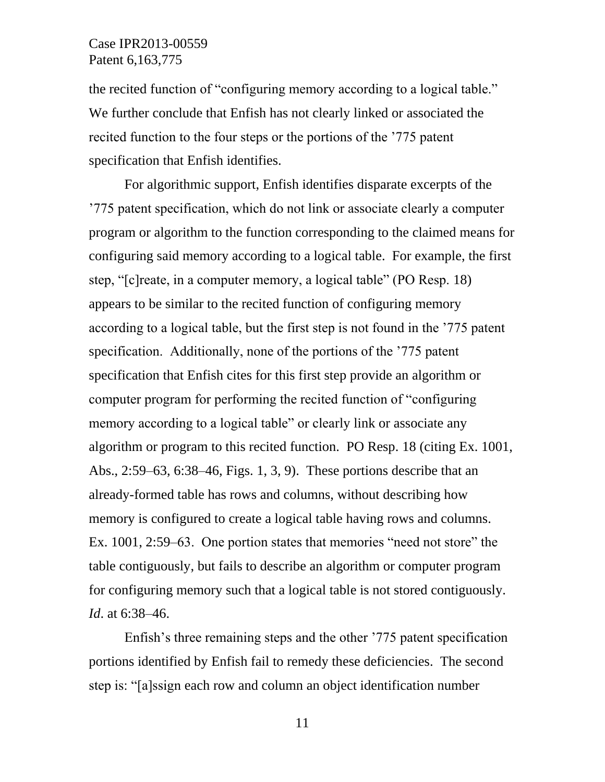the recited function of "configuring memory according to a logical table." We further conclude that Enfish has not clearly linked or associated the recited function to the four steps or the portions of the '775 patent specification that Enfish identifies.

For algorithmic support, Enfish identifies disparate excerpts of the '775 patent specification, which do not link or associate clearly a computer program or algorithm to the function corresponding to the claimed means for configuring said memory according to a logical table. For example, the first step, "[c]reate, in a computer memory, a logical table" (PO Resp. 18) appears to be similar to the recited function of configuring memory according to a logical table, but the first step is not found in the '775 patent specification. Additionally, none of the portions of the '775 patent specification that Enfish cites for this first step provide an algorithm or computer program for performing the recited function of "configuring memory according to a logical table" or clearly link or associate any algorithm or program to this recited function. PO Resp. 18 (citing Ex. 1001, Abs., 2:59–63, 6:38–46, Figs. 1, 3, 9). These portions describe that an already-formed table has rows and columns, without describing how memory is configured to create a logical table having rows and columns. Ex. 1001, 2:59–63. One portion states that memories "need not store" the table contiguously, but fails to describe an algorithm or computer program for configuring memory such that a logical table is not stored contiguously. *Id*. at 6:38–46.

Enfish's three remaining steps and the other '775 patent specification portions identified by Enfish fail to remedy these deficiencies. The second step is: "[a]ssign each row and column an object identification number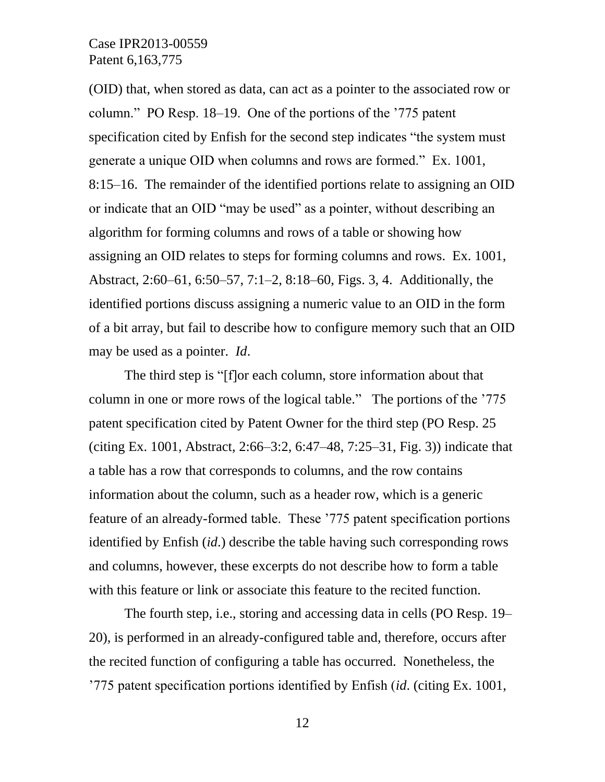(OID) that, when stored as data, can act as a pointer to the associated row or column." PO Resp. 18–19. One of the portions of the '775 patent specification cited by Enfish for the second step indicates "the system must generate a unique OID when columns and rows are formed." Ex. 1001, 8:15–16. The remainder of the identified portions relate to assigning an OID or indicate that an OID "may be used" as a pointer, without describing an algorithm for forming columns and rows of a table or showing how assigning an OID relates to steps for forming columns and rows. Ex. 1001, Abstract, 2:60–61, 6:50–57, 7:1–2, 8:18–60, Figs. 3, 4. Additionally, the identified portions discuss assigning a numeric value to an OID in the form of a bit array, but fail to describe how to configure memory such that an OID may be used as a pointer. *Id*.

The third step is "[f]or each column, store information about that column in one or more rows of the logical table." The portions of the '775 patent specification cited by Patent Owner for the third step (PO Resp. 25 (citing Ex. 1001, Abstract, 2:66–3:2, 6:47–48, 7:25–31, Fig. 3)) indicate that a table has a row that corresponds to columns, and the row contains information about the column, such as a header row, which is a generic feature of an already-formed table. These '775 patent specification portions identified by Enfish (*id*.) describe the table having such corresponding rows and columns, however, these excerpts do not describe how to form a table with this feature or link or associate this feature to the recited function.

The fourth step, i.e., storing and accessing data in cells (PO Resp. 19– 20), is performed in an already-configured table and, therefore, occurs after the recited function of configuring a table has occurred. Nonetheless, the '775 patent specification portions identified by Enfish (*id*. (citing Ex. 1001,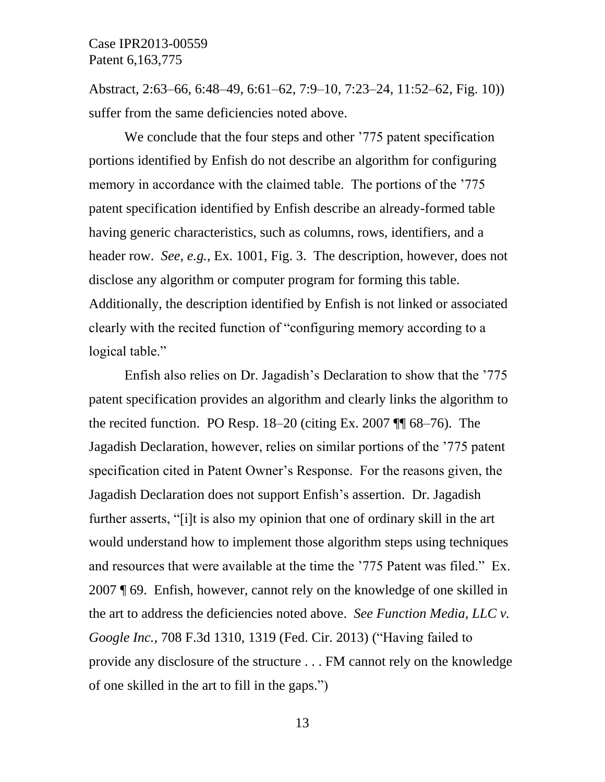Abstract, 2:63–66, 6:48–49, 6:61–62, 7:9–10, 7:23–24, 11:52–62, Fig. 10)) suffer from the same deficiencies noted above.

We conclude that the four steps and other '775 patent specification portions identified by Enfish do not describe an algorithm for configuring memory in accordance with the claimed table. The portions of the '775 patent specification identified by Enfish describe an already-formed table having generic characteristics, such as columns, rows, identifiers, and a header row. *See, e.g.*, Ex. 1001, Fig. 3. The description, however, does not disclose any algorithm or computer program for forming this table. Additionally, the description identified by Enfish is not linked or associated clearly with the recited function of "configuring memory according to a logical table."

Enfish also relies on Dr. Jagadish's Declaration to show that the '775 patent specification provides an algorithm and clearly links the algorithm to the recited function. PO Resp. 18–20 (citing Ex. 2007 ¶¶ 68–76). The Jagadish Declaration, however, relies on similar portions of the '775 patent specification cited in Patent Owner's Response. For the reasons given, the Jagadish Declaration does not support Enfish's assertion. Dr. Jagadish further asserts, "[i]t is also my opinion that one of ordinary skill in the art would understand how to implement those algorithm steps using techniques and resources that were available at the time the '775 Patent was filed." Ex. 2007 ¶ 69. Enfish, however, cannot rely on the knowledge of one skilled in the art to address the deficiencies noted above. *See Function Media, LLC v. Google Inc.*, 708 F.3d 1310, 1319 (Fed. Cir. 2013) ("Having failed to provide any disclosure of the structure . . . FM cannot rely on the knowledge of one skilled in the art to fill in the gaps.")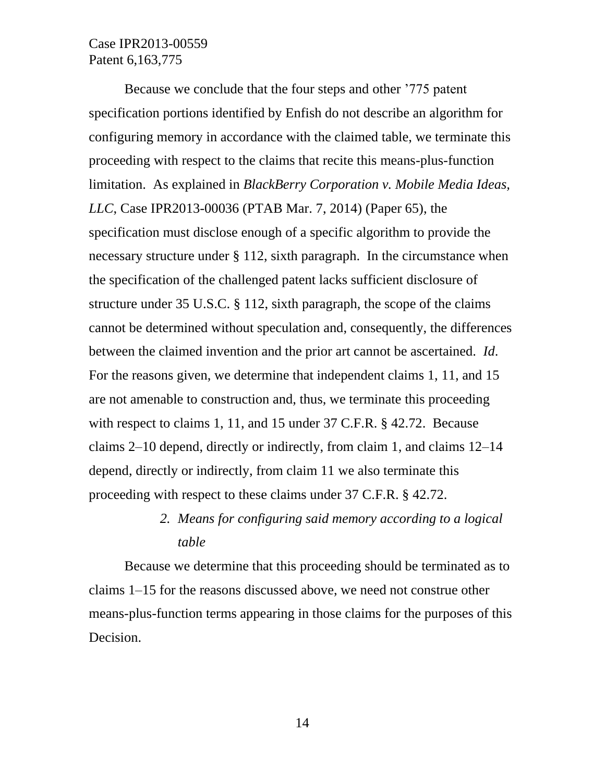Because we conclude that the four steps and other '775 patent specification portions identified by Enfish do not describe an algorithm for configuring memory in accordance with the claimed table, we terminate this proceeding with respect to the claims that recite this means-plus-function limitation. As explained in *BlackBerry Corporation v. Mobile Media Ideas, LLC*, Case IPR2013-00036 (PTAB Mar. 7, 2014) (Paper 65), the specification must disclose enough of a specific algorithm to provide the necessary structure under § 112, sixth paragraph. In the circumstance when the specification of the challenged patent lacks sufficient disclosure of structure under 35 U.S.C. § 112, sixth paragraph, the scope of the claims cannot be determined without speculation and, consequently, the differences between the claimed invention and the prior art cannot be ascertained. *Id*. For the reasons given, we determine that independent claims 1, 11, and 15 are not amenable to construction and, thus, we terminate this proceeding with respect to claims 1, 11, and 15 under 37 C.F.R. § 42.72. Because claims 2–10 depend, directly or indirectly, from claim 1, and claims 12–14 depend, directly or indirectly, from claim 11 we also terminate this proceeding with respect to these claims under 37 C.F.R. § 42.72.

# *2. Means for configuring said memory according to a logical table*

Because we determine that this proceeding should be terminated as to claims 1–15 for the reasons discussed above, we need not construe other means-plus-function terms appearing in those claims for the purposes of this Decision.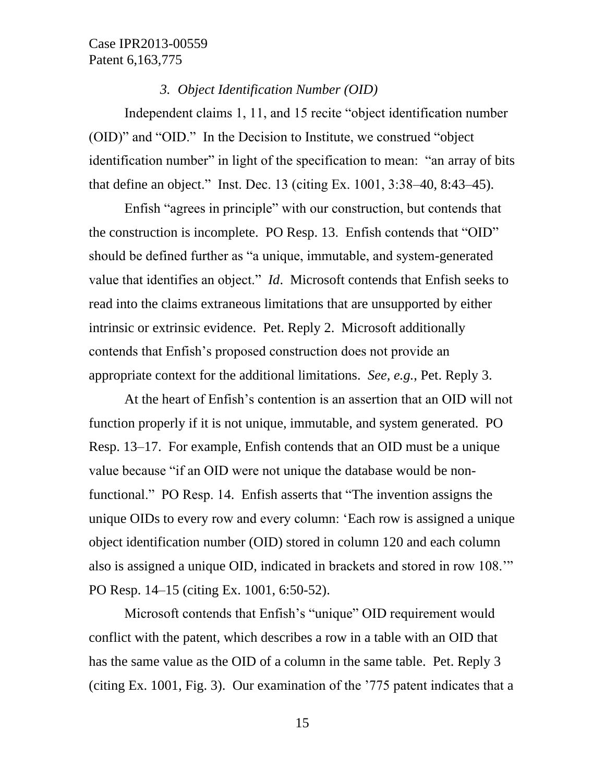#### *3. Object Identification Number (OID)*

Independent claims 1, 11, and 15 recite "object identification number (OID)" and "OID." In the Decision to Institute, we construed "object identification number" in light of the specification to mean: "an array of bits that define an object." Inst. Dec. 13 (citing Ex. 1001, 3:38–40, 8:43–45).

Enfish "agrees in principle" with our construction, but contends that the construction is incomplete. PO Resp. 13. Enfish contends that "OID" should be defined further as "a unique, immutable, and system-generated value that identifies an object." *Id*. Microsoft contends that Enfish seeks to read into the claims extraneous limitations that are unsupported by either intrinsic or extrinsic evidence. Pet. Reply 2. Microsoft additionally contends that Enfish's proposed construction does not provide an appropriate context for the additional limitations. *See, e.g.*, Pet. Reply 3.

At the heart of Enfish's contention is an assertion that an OID will not function properly if it is not unique, immutable, and system generated. PO Resp. 13–17. For example, Enfish contends that an OID must be a unique value because "if an OID were not unique the database would be nonfunctional." PO Resp. 14. Enfish asserts that "The invention assigns the unique OIDs to every row and every column: 'Each row is assigned a unique object identification number (OID) stored in column 120 and each column also is assigned a unique OID, indicated in brackets and stored in row 108.'" PO Resp. 14–15 (citing Ex. 1001, 6:50-52).

Microsoft contends that Enfish's "unique" OID requirement would conflict with the patent, which describes a row in a table with an OID that has the same value as the OID of a column in the same table. Pet. Reply 3 (citing Ex. 1001, Fig. 3). Our examination of the '775 patent indicates that a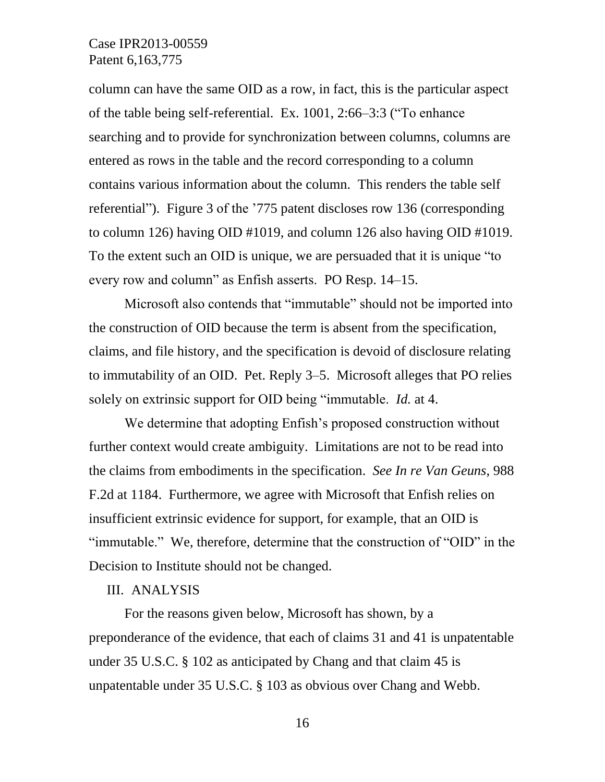column can have the same OID as a row, in fact, this is the particular aspect of the table being self-referential. Ex. 1001, 2:66–3:3 ("To enhance searching and to provide for synchronization between columns, columns are entered as rows in the table and the record corresponding to a column contains various information about the column. This renders the table self referential"). Figure 3 of the '775 patent discloses row 136 (corresponding to column 126) having OID #1019, and column 126 also having OID #1019. To the extent such an OID is unique, we are persuaded that it is unique "to every row and column" as Enfish asserts. PO Resp. 14–15.

Microsoft also contends that "immutable" should not be imported into the construction of OID because the term is absent from the specification, claims, and file history, and the specification is devoid of disclosure relating to immutability of an OID. Pet. Reply 3–5. Microsoft alleges that PO relies solely on extrinsic support for OID being "immutable. *Id.* at 4.

We determine that adopting Enfish's proposed construction without further context would create ambiguity. Limitations are not to be read into the claims from embodiments in the specification. *See In re Van Geuns*, 988 F.2d at 1184. Furthermore, we agree with Microsoft that Enfish relies on insufficient extrinsic evidence for support, for example, that an OID is "immutable." We, therefore, determine that the construction of "OID" in the Decision to Institute should not be changed.

#### III. ANALYSIS

For the reasons given below, Microsoft has shown, by a preponderance of the evidence, that each of claims 31 and 41 is unpatentable under 35 U.S.C. § 102 as anticipated by Chang and that claim 45 is unpatentable under 35 U.S.C. § 103 as obvious over Chang and Webb.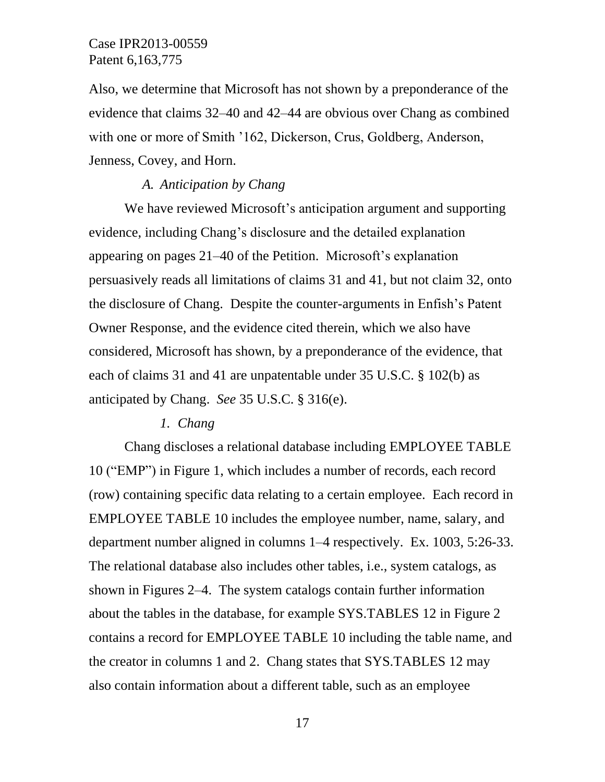Also, we determine that Microsoft has not shown by a preponderance of the evidence that claims 32–40 and 42–44 are obvious over Chang as combined with one or more of Smith '162, Dickerson, Crus, Goldberg, Anderson, Jenness, Covey, and Horn.

#### *A. Anticipation by Chang*

We have reviewed Microsoft's anticipation argument and supporting evidence, including Chang's disclosure and the detailed explanation appearing on pages 21–40 of the Petition. Microsoft's explanation persuasively reads all limitations of claims 31 and 41, but not claim 32, onto the disclosure of Chang. Despite the counter-arguments in Enfish's Patent Owner Response, and the evidence cited therein, which we also have considered, Microsoft has shown, by a preponderance of the evidence, that each of claims 31 and 41 are unpatentable under 35 U.S.C. § 102(b) as anticipated by Chang. *See* 35 U.S.C. § 316(e).

#### *1. Chang*

Chang discloses a relational database including EMPLOYEE TABLE 10 ("EMP") in Figure 1, which includes a number of records, each record (row) containing specific data relating to a certain employee. Each record in EMPLOYEE TABLE 10 includes the employee number, name, salary, and department number aligned in columns 1–4 respectively. Ex. 1003, 5:26-33. The relational database also includes other tables, i.e., system catalogs, as shown in Figures 2–4. The system catalogs contain further information about the tables in the database, for example SYS.TABLES 12 in Figure 2 contains a record for EMPLOYEE TABLE 10 including the table name, and the creator in columns 1 and 2. Chang states that SYS.TABLES 12 may also contain information about a different table, such as an employee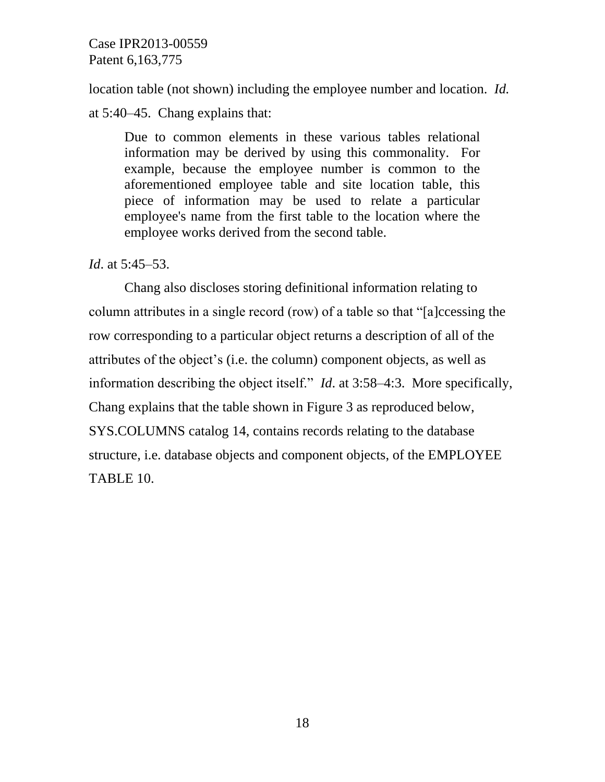location table (not shown) including the employee number and location. *Id.*

at 5:40–45. Chang explains that:

Due to common elements in these various tables relational information may be derived by using this commonality. For example, because the employee number is common to the aforementioned employee table and site location table, this piece of information may be used to relate a particular employee's name from the first table to the location where the employee works derived from the second table.

# *Id*. at 5:45–53.

Chang also discloses storing definitional information relating to column attributes in a single record (row) of a table so that "[a]ccessing the row corresponding to a particular object returns a description of all of the attributes of the object's (i.e. the column) component objects, as well as information describing the object itself." *Id*. at 3:58–4:3. More specifically, Chang explains that the table shown in Figure 3 as reproduced below, SYS.COLUMNS catalog 14, contains records relating to the database structure, i.e. database objects and component objects, of the EMPLOYEE TABLE 10.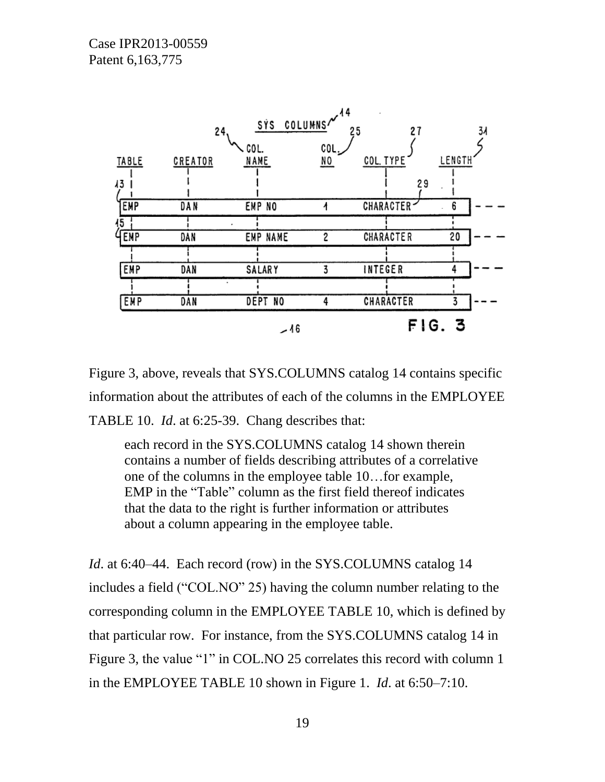

Figure 3, above, reveals that SYS.COLUMNS catalog 14 contains specific information about the attributes of each of the columns in the EMPLOYEE TABLE 10. *Id*. at 6:25-39. Chang describes that:

each record in the SYS.COLUMNS catalog 14 shown therein contains a number of fields describing attributes of a correlative one of the columns in the employee table 10…for example, EMP in the "Table" column as the first field thereof indicates that the data to the right is further information or attributes about a column appearing in the employee table.

*Id.* at 6:40–44. Each record (row) in the SYS.COLUMNS catalog 14 includes a field ("COL.NO" 25) having the column number relating to the corresponding column in the EMPLOYEE TABLE 10, which is defined by that particular row. For instance, from the SYS.COLUMNS catalog 14 in Figure 3, the value "1" in COL.NO 25 correlates this record with column 1 in the EMPLOYEE TABLE 10 shown in Figure 1. *Id*. at 6:50–7:10.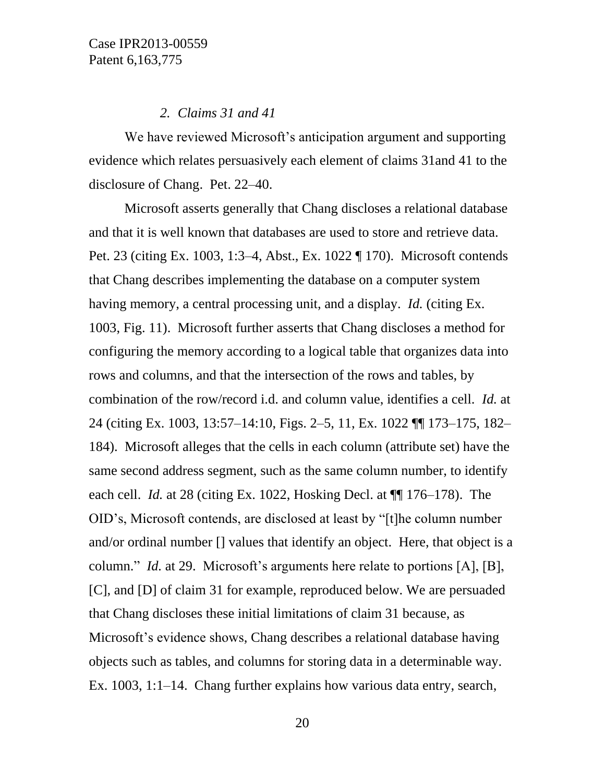#### *2. Claims 31 and 41*

We have reviewed Microsoft's anticipation argument and supporting evidence which relates persuasively each element of claims 31and 41 to the disclosure of Chang. Pet. 22–40.

Microsoft asserts generally that Chang discloses a relational database and that it is well known that databases are used to store and retrieve data. Pet. 23 (citing Ex. 1003, 1:3–4, Abst., Ex. 1022 ¶ 170). Microsoft contends that Chang describes implementing the database on a computer system having memory, a central processing unit, and a display. *Id.* (citing Ex. 1003, Fig. 11). Microsoft further asserts that Chang discloses a method for configuring the memory according to a logical table that organizes data into rows and columns, and that the intersection of the rows and tables, by combination of the row/record i.d. and column value, identifies a cell. *Id.* at 24 (citing Ex. 1003, 13:57–14:10, Figs. 2–5, 11, Ex. 1022 ¶¶ 173–175, 182– 184). Microsoft alleges that the cells in each column (attribute set) have the same second address segment, such as the same column number, to identify each cell. *Id.* at 28 (citing Ex. 1022, Hosking Decl. at ¶¶ 176–178). The OID's, Microsoft contends, are disclosed at least by "[t]he column number and/or ordinal number [] values that identify an object. Here, that object is a column." *Id.* at 29. Microsoft's arguments here relate to portions [A], [B], [C], and [D] of claim 31 for example, reproduced below. We are persuaded that Chang discloses these initial limitations of claim 31 because, as Microsoft's evidence shows, Chang describes a relational database having objects such as tables, and columns for storing data in a determinable way. Ex. 1003, 1:1–14. Chang further explains how various data entry, search,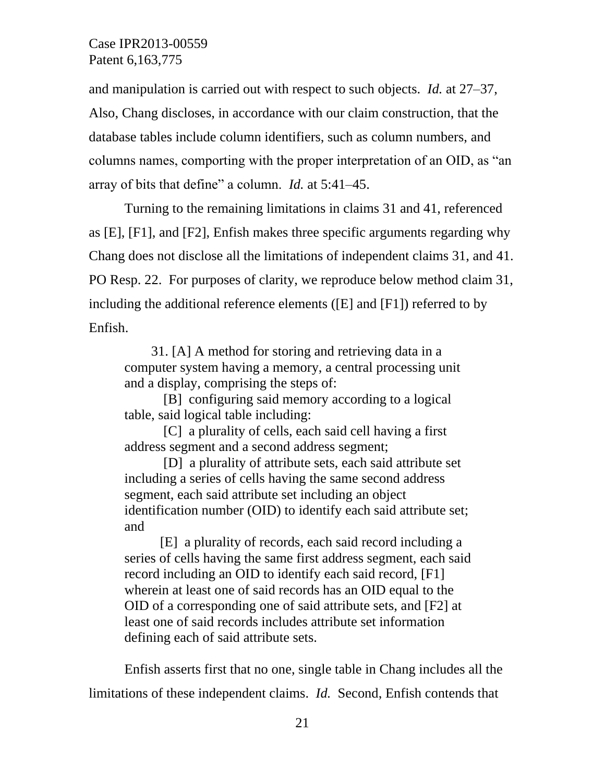and manipulation is carried out with respect to such objects. *Id.* at 27–37, Also, Chang discloses, in accordance with our claim construction, that the database tables include column identifiers, such as column numbers, and columns names, comporting with the proper interpretation of an OID, as "an array of bits that define" a column. *Id.* at 5:41–45.

Turning to the remaining limitations in claims 31 and 41, referenced as [E], [F1], and [F2], Enfish makes three specific arguments regarding why Chang does not disclose all the limitations of independent claims 31, and 41. PO Resp. 22. For purposes of clarity, we reproduce below method claim 31, including the additional reference elements ([E] and [F1]) referred to by Enfish.

31. [A] A method for storing and retrieving data in a computer system having a memory, a central processing unit and a display, comprising the steps of:

[B] configuring said memory according to a logical table, said logical table including:

[C] a plurality of cells, each said cell having a first address segment and a second address segment;

[D]a plurality of attribute sets, each said attribute set including a series of cells having the same second address segment, each said attribute set including an object identification number (OID) to identify each said attribute set; and

[E] a plurality of records, each said record including a series of cells having the same first address segment, each said record including an OID to identify each said record, [F1] wherein at least one of said records has an OID equal to the OID of a corresponding one of said attribute sets, and [F2] at least one of said records includes attribute set information defining each of said attribute sets.

Enfish asserts first that no one, single table in Chang includes all the limitations of these independent claims. *Id.* Second, Enfish contends that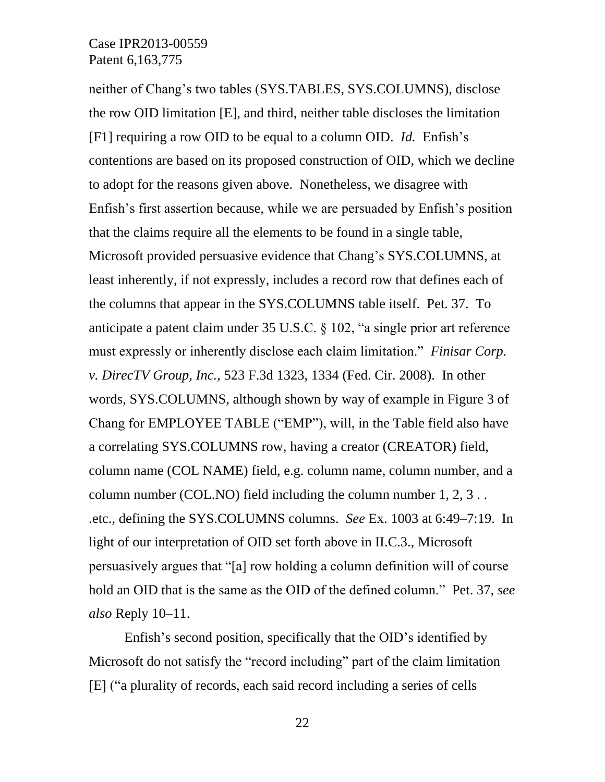neither of Chang's two tables (SYS.TABLES, SYS.COLUMNS), disclose the row OID limitation [E], and third, neither table discloses the limitation [F1] requiring a row OID to be equal to a column OID. *Id.* Enfish's contentions are based on its proposed construction of OID, which we decline to adopt for the reasons given above. Nonetheless, we disagree with Enfish's first assertion because, while we are persuaded by Enfish's position that the claims require all the elements to be found in a single table, Microsoft provided persuasive evidence that Chang's SYS.COLUMNS, at least inherently, if not expressly, includes a record row that defines each of the columns that appear in the SYS.COLUMNS table itself. Pet. 37. To anticipate a patent claim under 35 U.S.C. § 102, "a single prior art reference must expressly or inherently disclose each claim limitation." *Finisar Corp. v. DirecTV Group, Inc.*, 523 F.3d 1323, 1334 (Fed. Cir. 2008). In other words, SYS.COLUMNS, although shown by way of example in Figure 3 of Chang for EMPLOYEE TABLE ("EMP"), will, in the Table field also have a correlating SYS.COLUMNS row, having a creator (CREATOR) field, column name (COL NAME) field, e.g. column name, column number, and a column number (COL.NO) field including the column number 1, 2, 3 . . .etc., defining the SYS.COLUMNS columns. *See* Ex. 1003 at 6:49–7:19. In light of our interpretation of OID set forth above in II.C.3., Microsoft persuasively argues that "[a] row holding a column definition will of course hold an OID that is the same as the OID of the defined column." Pet. 37, *see also* Reply 10–11.

Enfish's second position, specifically that the OID's identified by Microsoft do not satisfy the "record including" part of the claim limitation [E] ("a plurality of records, each said record including a series of cells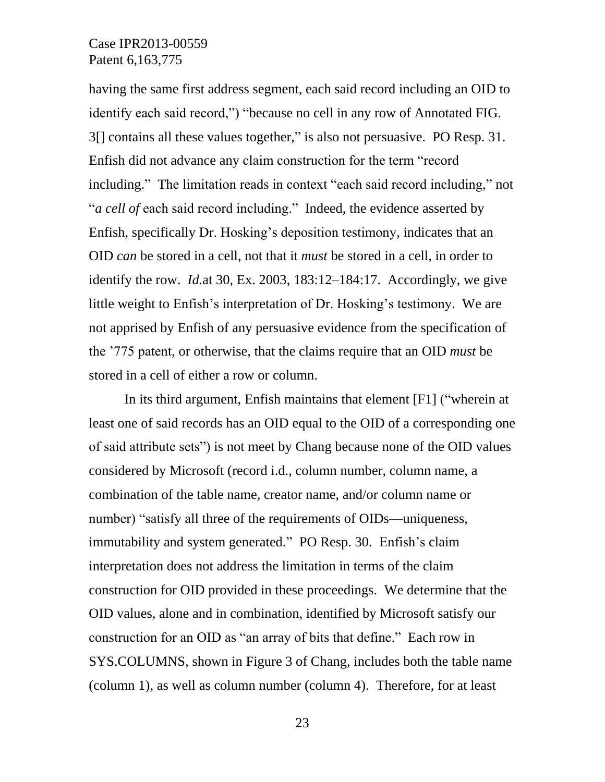having the same first address segment, each said record including an OID to identify each said record,") "because no cell in any row of Annotated FIG. 3[] contains all these values together," is also not persuasive. PO Resp. 31. Enfish did not advance any claim construction for the term "record including." The limitation reads in context "each said record including," not "*a cell of* each said record including." Indeed, the evidence asserted by Enfish, specifically Dr. Hosking's deposition testimony, indicates that an OID *can* be stored in a cell, not that it *must* be stored in a cell, in order to identify the row. *Id.*at 30, Ex. 2003, 183:12–184:17. Accordingly, we give little weight to Enfish's interpretation of Dr. Hosking's testimony. We are not apprised by Enfish of any persuasive evidence from the specification of the '775 patent, or otherwise, that the claims require that an OID *must* be stored in a cell of either a row or column.

In its third argument, Enfish maintains that element [F1] ("wherein at least one of said records has an OID equal to the OID of a corresponding one of said attribute sets") is not meet by Chang because none of the OID values considered by Microsoft (record i.d., column number, column name, a combination of the table name, creator name, and/or column name or number) "satisfy all three of the requirements of OIDs—uniqueness, immutability and system generated." PO Resp. 30. Enfish's claim interpretation does not address the limitation in terms of the claim construction for OID provided in these proceedings. We determine that the OID values, alone and in combination, identified by Microsoft satisfy our construction for an OID as "an array of bits that define." Each row in SYS.COLUMNS, shown in Figure 3 of Chang, includes both the table name (column 1), as well as column number (column 4). Therefore, for at least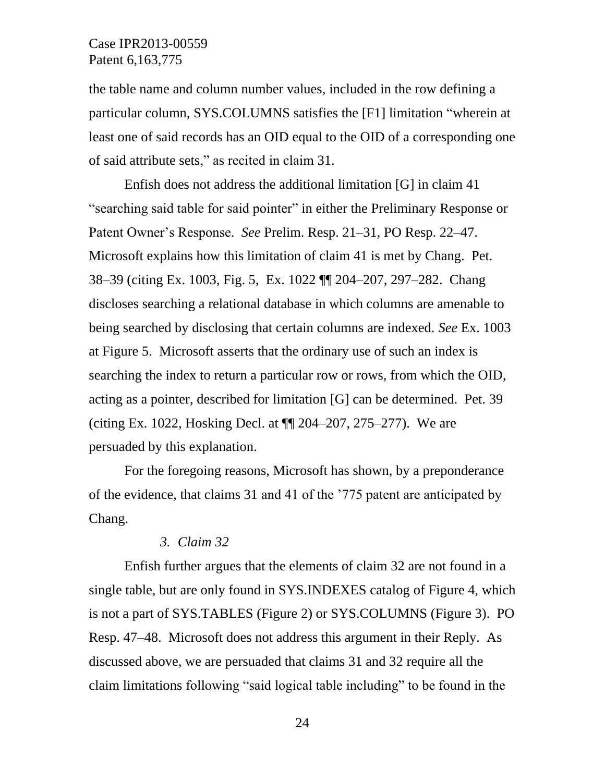the table name and column number values, included in the row defining a particular column, SYS.COLUMNS satisfies the [F1] limitation "wherein at least one of said records has an OID equal to the OID of a corresponding one of said attribute sets," as recited in claim 31.

Enfish does not address the additional limitation [G] in claim 41 "searching said table for said pointer" in either the Preliminary Response or Patent Owner's Response. *See* Prelim. Resp. 21–31, PO Resp. 22–47. Microsoft explains how this limitation of claim 41 is met by Chang. Pet. 38–39 (citing Ex. 1003, Fig. 5, Ex. 1022 ¶¶ 204–207, 297–282. Chang discloses searching a relational database in which columns are amenable to being searched by disclosing that certain columns are indexed. *See* Ex. 1003 at Figure 5. Microsoft asserts that the ordinary use of such an index is searching the index to return a particular row or rows, from which the OID, acting as a pointer, described for limitation [G] can be determined. Pet. 39 (citing Ex. 1022, Hosking Decl. at ¶¶ 204–207, 275–277). We are persuaded by this explanation.

For the foregoing reasons, Microsoft has shown, by a preponderance of the evidence, that claims 31 and 41 of the '775 patent are anticipated by Chang.

# *3. Claim 32*

Enfish further argues that the elements of claim 32 are not found in a single table, but are only found in SYS.INDEXES catalog of Figure 4, which is not a part of SYS.TABLES (Figure 2) or SYS.COLUMNS (Figure 3). PO Resp. 47–48. Microsoft does not address this argument in their Reply. As discussed above, we are persuaded that claims 31 and 32 require all the claim limitations following "said logical table including" to be found in the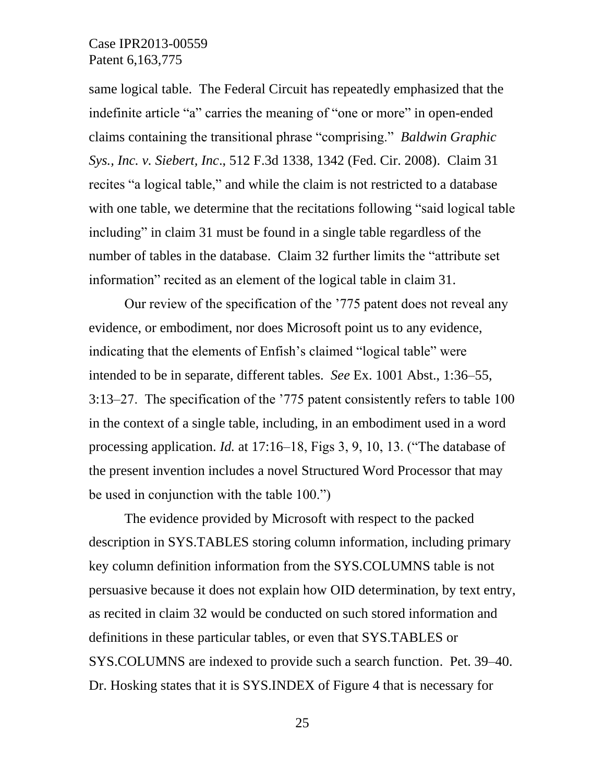same logical table. The Federal Circuit has repeatedly emphasized that the indefinite article "a" carries the meaning of "one or more" in open-ended claims containing the transitional phrase "comprising." *Baldwin Graphic Sys., Inc. v. Siebert, Inc*., 512 F.3d 1338, 1342 (Fed. Cir. 2008). Claim 31 recites "a logical table," and while the claim is not restricted to a database with one table, we determine that the recitations following "said logical table including" in claim 31 must be found in a single table regardless of the number of tables in the database. Claim 32 further limits the "attribute set information" recited as an element of the logical table in claim 31.

Our review of the specification of the '775 patent does not reveal any evidence, or embodiment, nor does Microsoft point us to any evidence, indicating that the elements of Enfish's claimed "logical table" were intended to be in separate, different tables. *See* Ex. 1001 Abst., 1:36–55, 3:13–27. The specification of the '775 patent consistently refers to table 100 in the context of a single table, including, in an embodiment used in a word processing application. *Id.* at 17:16–18, Figs 3, 9, 10, 13. ("The database of the present invention includes a novel Structured Word Processor that may be used in conjunction with the table 100.")

The evidence provided by Microsoft with respect to the packed description in SYS.TABLES storing column information, including primary key column definition information from the SYS.COLUMNS table is not persuasive because it does not explain how OID determination, by text entry, as recited in claim 32 would be conducted on such stored information and definitions in these particular tables, or even that SYS.TABLES or SYS.COLUMNS are indexed to provide such a search function. Pet. 39–40. Dr. Hosking states that it is SYS.INDEX of Figure 4 that is necessary for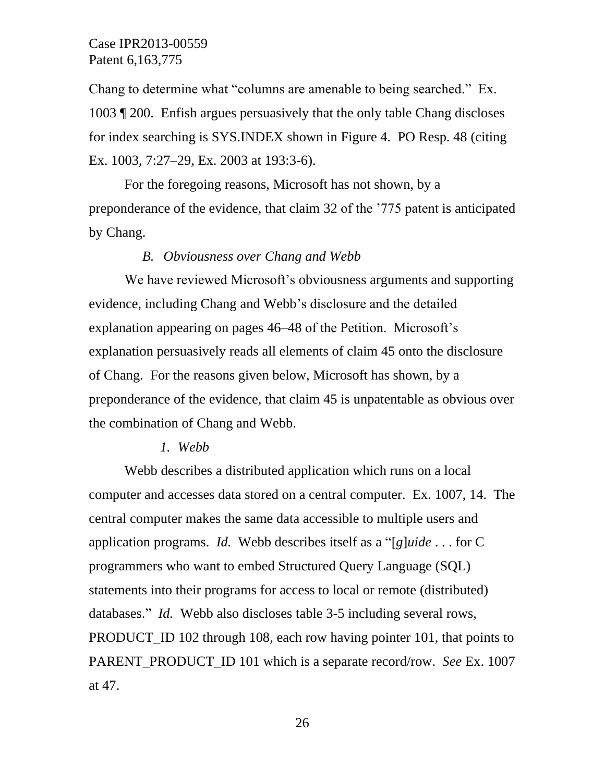Chang to determine what "columns are amenable to being searched." Ex. 1003 ¶ 200. Enfish argues persuasively that the only table Chang discloses for index searching is SYS.INDEX shown in Figure 4. PO Resp. 48 (citing Ex. 1003, 7:27–29, Ex. 2003 at 193:3-6).

For the foregoing reasons, Microsoft has not shown, by a preponderance of the evidence, that claim 32 of the '775 patent is anticipated by Chang.

#### *B. Obviousness over Chang and Webb*

We have reviewed Microsoft's obviousness arguments and supporting evidence, including Chang and Webb's disclosure and the detailed explanation appearing on pages 46–48 of the Petition. Microsoft's explanation persuasively reads all elements of claim 45 onto the disclosure of Chang. For the reasons given below, Microsoft has shown, by a preponderance of the evidence, that claim 45 is unpatentable as obvious over the combination of Chang and Webb.

#### *1. Webb*

Webb describes a distributed application which runs on a local computer and accesses data stored on a central computer. Ex. 1007, 14. The central computer makes the same data accessible to multiple users and application programs. *Id.* Webb describes itself as a "[*g*]*uide* . . . for C programmers who want to embed Structured Query Language (SQL) statements into their programs for access to local or remote (distributed) databases." *Id.* Webb also discloses table 3-5 including several rows, PRODUCT ID 102 through 108, each row having pointer 101, that points to PARENT\_PRODUCT\_ID 101 which is a separate record/row. *See* Ex. 1007 at 47.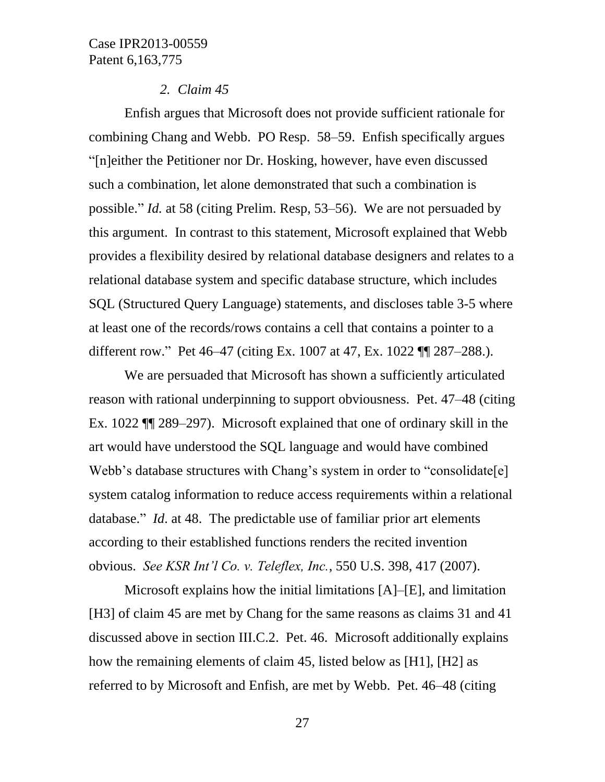#### *2. Claim 45*

Enfish argues that Microsoft does not provide sufficient rationale for combining Chang and Webb. PO Resp. 58–59. Enfish specifically argues "[n]either the Petitioner nor Dr. Hosking, however, have even discussed such a combination, let alone demonstrated that such a combination is possible." *Id.* at 58 (citing Prelim. Resp, 53–56). We are not persuaded by this argument. In contrast to this statement, Microsoft explained that Webb provides a flexibility desired by relational database designers and relates to a relational database system and specific database structure, which includes SQL (Structured Query Language) statements, and discloses table 3-5 where at least one of the records/rows contains a cell that contains a pointer to a different row." Pet 46–47 (citing Ex. 1007 at 47, Ex. 1022 ¶¶ 287–288.).

We are persuaded that Microsoft has shown a sufficiently articulated reason with rational underpinning to support obviousness. Pet. 47–48 (citing Ex. 1022 ¶¶ 289–297). Microsoft explained that one of ordinary skill in the art would have understood the SQL language and would have combined Webb's database structures with Chang's system in order to "consolidate[e] system catalog information to reduce access requirements within a relational database." *Id*. at 48. The predictable use of familiar prior art elements according to their established functions renders the recited invention obvious. *See KSR Int'l Co. v. Teleflex, Inc.*, 550 U.S. 398, 417 (2007).

Microsoft explains how the initial limitations [A]–[E], and limitation [H3] of claim 45 are met by Chang for the same reasons as claims 31 and 41 discussed above in section III.C.2. Pet. 46. Microsoft additionally explains how the remaining elements of claim 45, listed below as [H1], [H2] as referred to by Microsoft and Enfish, are met by Webb. Pet. 46–48 (citing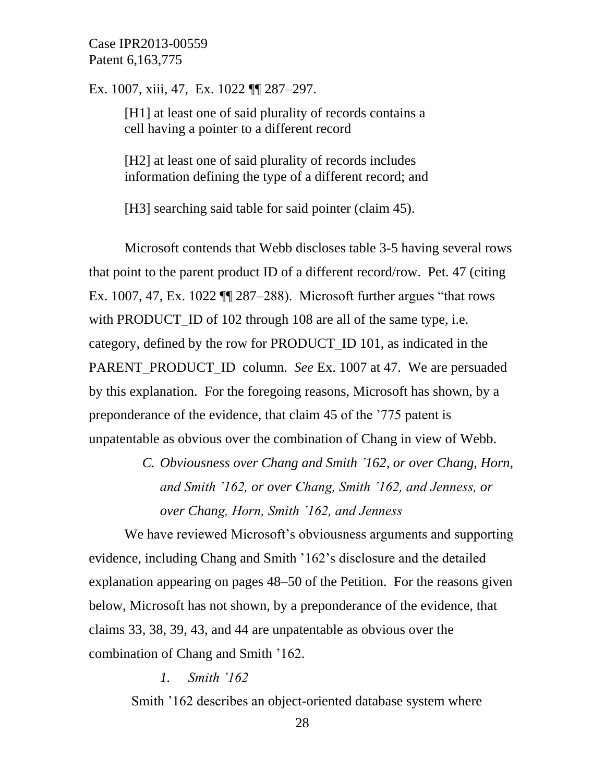Ex. 1007, xiii, 47, Ex. 1022 ¶¶ 287–297.

[H1] at least one of said plurality of records contains a cell having a pointer to a different record

[H2] at least one of said plurality of records includes information defining the type of a different record; and

[H3] searching said table for said pointer (claim 45).

Microsoft contends that Webb discloses table 3-5 having several rows that point to the parent product ID of a different record/row. Pet. 47 (citing Ex. 1007, 47, Ex. 1022 ¶¶ 287–288). Microsoft further argues "that rows with PRODUCT\_ID of 102 through 108 are all of the same type, i.e. category, defined by the row for PRODUCT\_ID 101, as indicated in the PARENT\_PRODUCT\_ID column. *See* Ex. 1007 at 47. We are persuaded by this explanation. For the foregoing reasons, Microsoft has shown, by a preponderance of the evidence, that claim 45 of the '775 patent is unpatentable as obvious over the combination of Chang in view of Webb.

> *C. Obviousness over Chang and Smith '162, or over Chang, Horn, and Smith '162, or over Chang, Smith '162, and Jenness, or over Chang, Horn, Smith '162, and Jenness*

We have reviewed Microsoft's obviousness arguments and supporting evidence, including Chang and Smith '162's disclosure and the detailed explanation appearing on pages 48–50 of the Petition. For the reasons given below, Microsoft has not shown, by a preponderance of the evidence, that claims 33, 38, 39, 43, and 44 are unpatentable as obvious over the combination of Chang and Smith '162.

*1. Smith '162*

Smith '162 describes an object-oriented database system where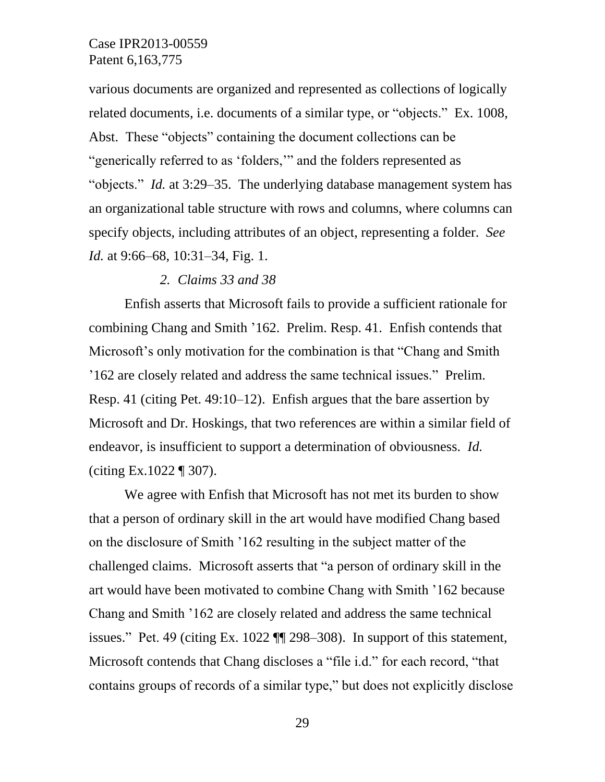various documents are organized and represented as collections of logically related documents, i.e. documents of a similar type, or "objects." Ex. 1008, Abst. These "objects" containing the document collections can be "generically referred to as 'folders,'" and the folders represented as "objects." *Id.* at 3:29–35. The underlying database management system has an organizational table structure with rows and columns, where columns can specify objects, including attributes of an object, representing a folder. *See Id.* at 9:66–68, 10:31–34, Fig. 1.

#### *2. Claims 33 and 38*

Enfish asserts that Microsoft fails to provide a sufficient rationale for combining Chang and Smith '162. Prelim. Resp. 41. Enfish contends that Microsoft's only motivation for the combination is that "Chang and Smith '162 are closely related and address the same technical issues." Prelim. Resp. 41 (citing Pet. 49:10–12). Enfish argues that the bare assertion by Microsoft and Dr. Hoskings, that two references are within a similar field of endeavor, is insufficient to support a determination of obviousness. *Id.* (citing Ex.1022 ¶ 307).

We agree with Enfish that Microsoft has not met its burden to show that a person of ordinary skill in the art would have modified Chang based on the disclosure of Smith '162 resulting in the subject matter of the challenged claims. Microsoft asserts that "a person of ordinary skill in the art would have been motivated to combine Chang with Smith '162 because Chang and Smith '162 are closely related and address the same technical issues." Pet. 49 (citing Ex. 1022 ¶¶ 298–308). In support of this statement, Microsoft contends that Chang discloses a "file i.d." for each record, "that contains groups of records of a similar type," but does not explicitly disclose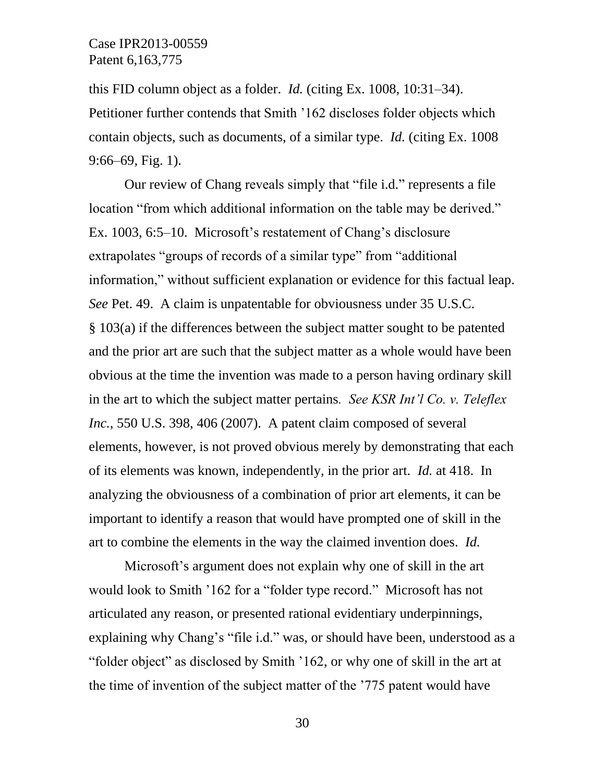this FID column object as a folder. *Id.* (citing Ex. 1008, 10:31–34). Petitioner further contends that Smith '162 discloses folder objects which contain objects, such as documents, of a similar type. *Id.* (citing Ex. 1008 9:66–69, Fig. 1).

Our review of Chang reveals simply that "file i.d." represents a file location "from which additional information on the table may be derived." Ex. 1003, 6:5–10. Microsoft's restatement of Chang's disclosure extrapolates "groups of records of a similar type" from "additional information," without sufficient explanation or evidence for this factual leap. *See* Pet. 49. A claim is unpatentable for obviousness under 35 U.S.C. § 103(a) if the differences between the subject matter sought to be patented and the prior art are such that the subject matter as a whole would have been obvious at the time the invention was made to a person having ordinary skill in the art to which the subject matter pertains*. See KSR Int'l Co. v. Teleflex Inc.*, 550 U.S. 398, 406 (2007). A patent claim composed of several elements, however, is not proved obvious merely by demonstrating that each of its elements was known, independently, in the prior art. *Id.* at 418. In analyzing the obviousness of a combination of prior art elements, it can be important to identify a reason that would have prompted one of skill in the art to combine the elements in the way the claimed invention does. *Id.*

Microsoft's argument does not explain why one of skill in the art would look to Smith '162 for a "folder type record." Microsoft has not articulated any reason, or presented rational evidentiary underpinnings, explaining why Chang's "file i.d." was, or should have been, understood as a "folder object" as disclosed by Smith '162, or why one of skill in the art at the time of invention of the subject matter of the '775 patent would have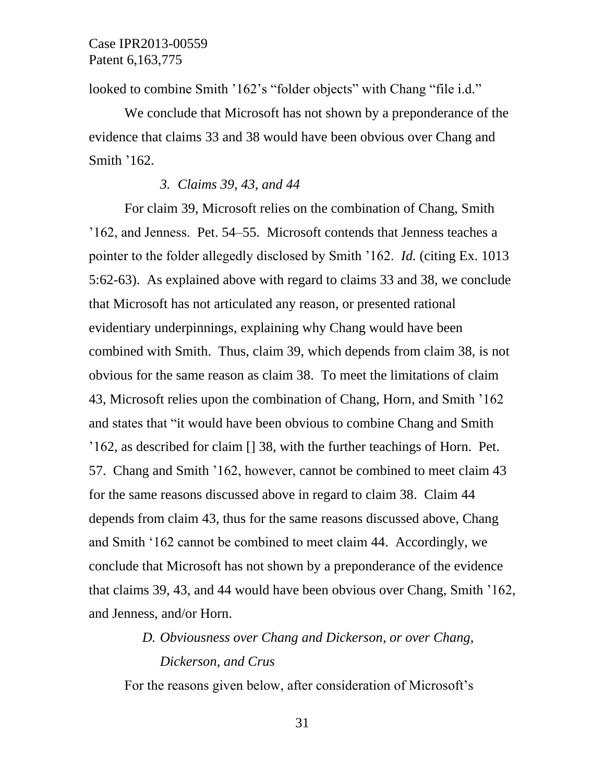looked to combine Smith '162's "folder objects" with Chang "file i.d."

We conclude that Microsoft has not shown by a preponderance of the evidence that claims 33 and 38 would have been obvious over Chang and Smith '162.

#### *3. Claims 39, 43, and 44*

For claim 39, Microsoft relies on the combination of Chang, Smith '162, and Jenness. Pet. 54–55. Microsoft contends that Jenness teaches a pointer to the folder allegedly disclosed by Smith '162. *Id.* (citing Ex. 1013 5:62-63). As explained above with regard to claims 33 and 38, we conclude that Microsoft has not articulated any reason, or presented rational evidentiary underpinnings, explaining why Chang would have been combined with Smith. Thus, claim 39, which depends from claim 38, is not obvious for the same reason as claim 38. To meet the limitations of claim 43, Microsoft relies upon the combination of Chang, Horn, and Smith '162 and states that "it would have been obvious to combine Chang and Smith '162, as described for claim [] 38, with the further teachings of Horn. Pet. 57. Chang and Smith '162, however, cannot be combined to meet claim 43 for the same reasons discussed above in regard to claim 38. Claim 44 depends from claim 43, thus for the same reasons discussed above, Chang and Smith '162 cannot be combined to meet claim 44. Accordingly, we conclude that Microsoft has not shown by a preponderance of the evidence that claims 39, 43, and 44 would have been obvious over Chang, Smith '162, and Jenness, and/or Horn.

# *D. Obviousness over Chang and Dickerson, or over Chang, Dickerson, and Crus*

For the reasons given below, after consideration of Microsoft's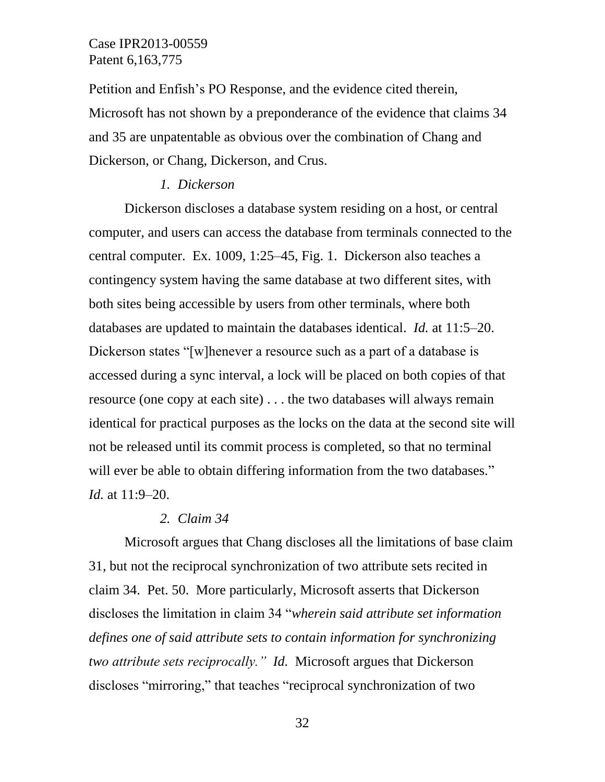Petition and Enfish's PO Response, and the evidence cited therein, Microsoft has not shown by a preponderance of the evidence that claims 34 and 35 are unpatentable as obvious over the combination of Chang and Dickerson, or Chang, Dickerson, and Crus.

#### *1. Dickerson*

Dickerson discloses a database system residing on a host, or central computer, and users can access the database from terminals connected to the central computer. Ex. 1009, 1:25–45, Fig. 1. Dickerson also teaches a contingency system having the same database at two different sites, with both sites being accessible by users from other terminals, where both databases are updated to maintain the databases identical. *Id.* at 11:5–20. Dickerson states "[w]henever a resource such as a part of a database is accessed during a sync interval, a lock will be placed on both copies of that resource (one copy at each site) . . . the two databases will always remain identical for practical purposes as the locks on the data at the second site will not be released until its commit process is completed, so that no terminal will ever be able to obtain differing information from the two databases." *Id.* at 11:9–20.

#### *2. Claim 34*

Microsoft argues that Chang discloses all the limitations of base claim 31, but not the reciprocal synchronization of two attribute sets recited in claim 34. Pet. 50. More particularly, Microsoft asserts that Dickerson discloses the limitation in claim 34 "*wherein said attribute set information defines one of said attribute sets to contain information for synchronizing two attribute sets reciprocally." Id.* Microsoft argues that Dickerson discloses "mirroring," that teaches "reciprocal synchronization of two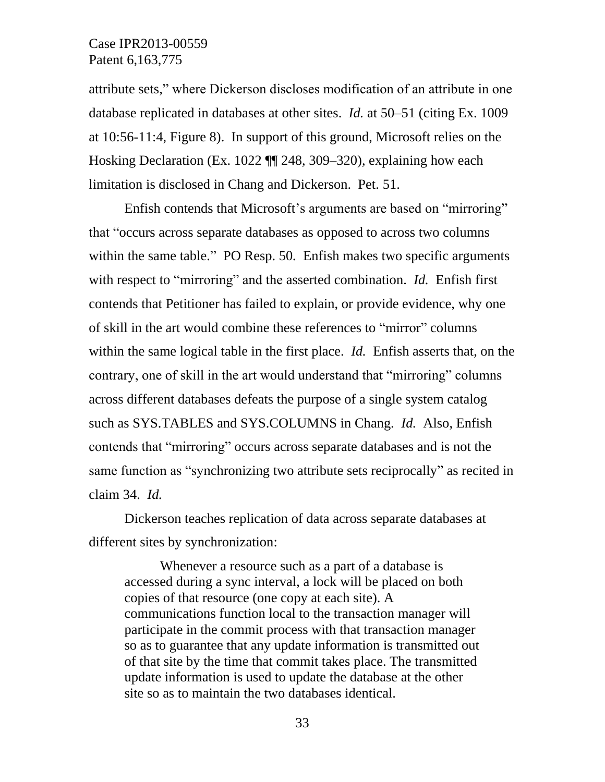attribute sets," where Dickerson discloses modification of an attribute in one database replicated in databases at other sites. *Id.* at 50–51 (citing Ex. 1009 at 10:56-11:4, Figure 8). In support of this ground, Microsoft relies on the Hosking Declaration (Ex. 1022 ¶¶ 248, 309–320), explaining how each limitation is disclosed in Chang and Dickerson. Pet. 51.

Enfish contends that Microsoft's arguments are based on "mirroring" that "occurs across separate databases as opposed to across two columns within the same table." PO Resp. 50. Enfish makes two specific arguments with respect to "mirroring" and the asserted combination. *Id.* Enfish first contends that Petitioner has failed to explain, or provide evidence, why one of skill in the art would combine these references to "mirror" columns within the same logical table in the first place. *Id.* Enfish asserts that, on the contrary, one of skill in the art would understand that "mirroring" columns across different databases defeats the purpose of a single system catalog such as SYS.TABLES and SYS.COLUMNS in Chang. *Id.* Also, Enfish contends that "mirroring" occurs across separate databases and is not the same function as "synchronizing two attribute sets reciprocally" as recited in claim 34. *Id.*

Dickerson teaches replication of data across separate databases at different sites by synchronization:

Whenever a resource such as a part of a database is accessed during a sync interval, a lock will be placed on both copies of that resource (one copy at each site). A communications function local to the transaction manager will participate in the commit process with that transaction manager so as to guarantee that any update information is transmitted out of that site by the time that commit takes place. The transmitted update information is used to update the database at the other site so as to maintain the two databases identical.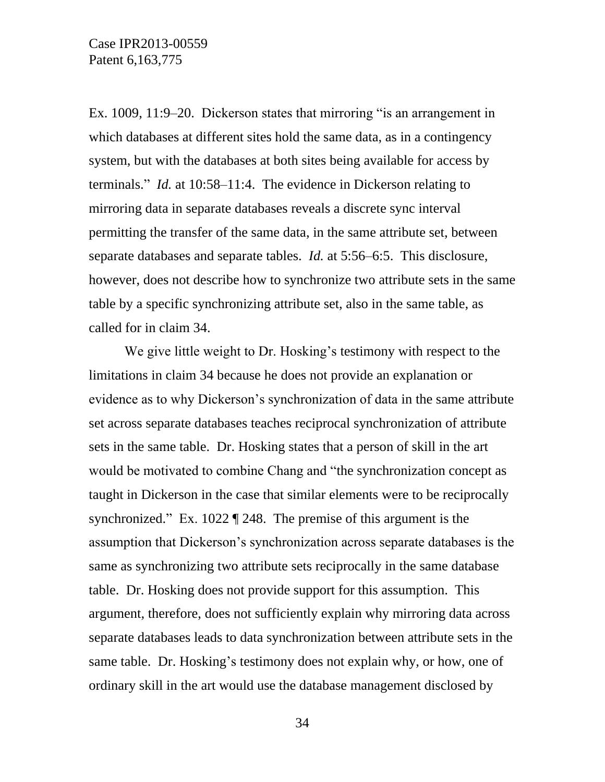Ex. 1009, 11:9–20. Dickerson states that mirroring "is an arrangement in which databases at different sites hold the same data, as in a contingency system, but with the databases at both sites being available for access by terminals." *Id.* at 10:58–11:4. The evidence in Dickerson relating to mirroring data in separate databases reveals a discrete sync interval permitting the transfer of the same data, in the same attribute set, between separate databases and separate tables. *Id.* at 5:56–6:5. This disclosure, however, does not describe how to synchronize two attribute sets in the same table by a specific synchronizing attribute set, also in the same table, as called for in claim 34.

We give little weight to Dr. Hosking's testimony with respect to the limitations in claim 34 because he does not provide an explanation or evidence as to why Dickerson's synchronization of data in the same attribute set across separate databases teaches reciprocal synchronization of attribute sets in the same table. Dr. Hosking states that a person of skill in the art would be motivated to combine Chang and "the synchronization concept as taught in Dickerson in the case that similar elements were to be reciprocally synchronized." Ex. 1022 ¶ 248. The premise of this argument is the assumption that Dickerson's synchronization across separate databases is the same as synchronizing two attribute sets reciprocally in the same database table. Dr. Hosking does not provide support for this assumption. This argument, therefore, does not sufficiently explain why mirroring data across separate databases leads to data synchronization between attribute sets in the same table. Dr. Hosking's testimony does not explain why, or how, one of ordinary skill in the art would use the database management disclosed by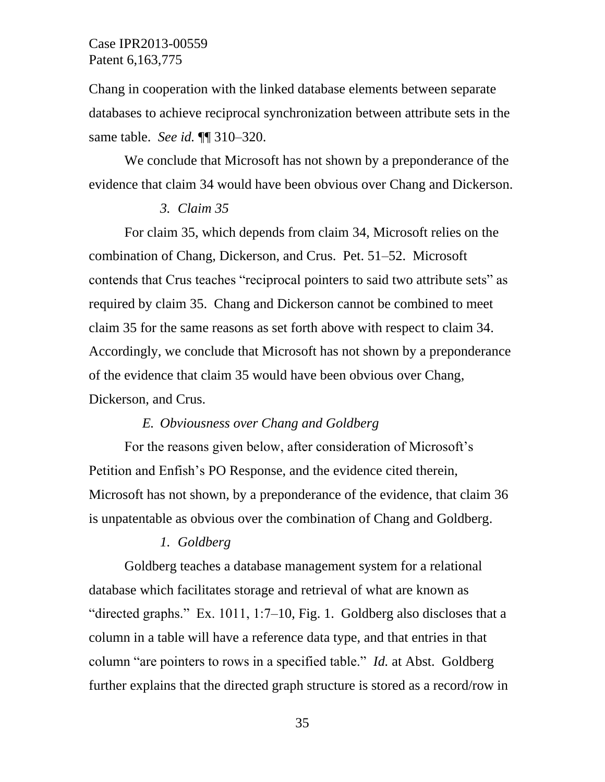Chang in cooperation with the linked database elements between separate databases to achieve reciprocal synchronization between attribute sets in the same table. *See id.* ¶¶ 310–320.

We conclude that Microsoft has not shown by a preponderance of the evidence that claim 34 would have been obvious over Chang and Dickerson.

#### *3. Claim 35*

For claim 35, which depends from claim 34, Microsoft relies on the combination of Chang, Dickerson, and Crus. Pet. 51–52. Microsoft contends that Crus teaches "reciprocal pointers to said two attribute sets" as required by claim 35. Chang and Dickerson cannot be combined to meet claim 35 for the same reasons as set forth above with respect to claim 34. Accordingly, we conclude that Microsoft has not shown by a preponderance of the evidence that claim 35 would have been obvious over Chang, Dickerson, and Crus.

#### *E. Obviousness over Chang and Goldberg*

For the reasons given below, after consideration of Microsoft's Petition and Enfish's PO Response, and the evidence cited therein, Microsoft has not shown, by a preponderance of the evidence, that claim 36 is unpatentable as obvious over the combination of Chang and Goldberg.

#### *1. Goldberg*

Goldberg teaches a database management system for a relational database which facilitates storage and retrieval of what are known as "directed graphs." Ex. 1011, 1:7–10, Fig. 1. Goldberg also discloses that a column in a table will have a reference data type, and that entries in that column "are pointers to rows in a specified table." *Id.* at Abst. Goldberg further explains that the directed graph structure is stored as a record/row in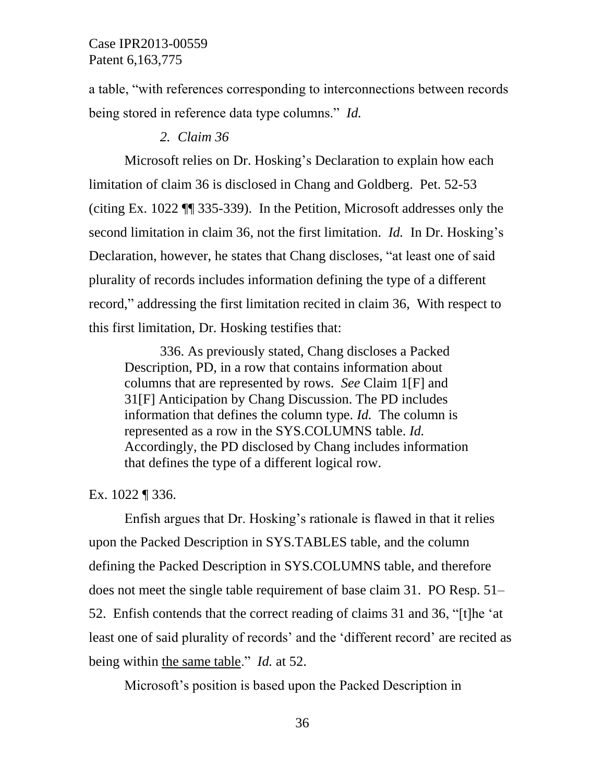a table, "with references corresponding to interconnections between records being stored in reference data type columns." *Id.*

#### *2. Claim 36*

Microsoft relies on Dr. Hosking's Declaration to explain how each limitation of claim 36 is disclosed in Chang and Goldberg. Pet. 52-53 (citing Ex. 1022 ¶¶ 335-339). In the Petition, Microsoft addresses only the second limitation in claim 36, not the first limitation. *Id.* In Dr. Hosking's Declaration, however, he states that Chang discloses, "at least one of said plurality of records includes information defining the type of a different record," addressing the first limitation recited in claim 36, With respect to this first limitation, Dr. Hosking testifies that:

336. As previously stated, Chang discloses a Packed Description, PD, in a row that contains information about columns that are represented by rows. *See* Claim 1[F] and 31[F] Anticipation by Chang Discussion. The PD includes information that defines the column type. *Id.* The column is represented as a row in the SYS.COLUMNS table. *Id.* Accordingly, the PD disclosed by Chang includes information that defines the type of a different logical row.

Ex. 1022 ¶ 336.

Enfish argues that Dr. Hosking's rationale is flawed in that it relies upon the Packed Description in SYS.TABLES table, and the column defining the Packed Description in SYS.COLUMNS table, and therefore does not meet the single table requirement of base claim 31. PO Resp. 51– 52. Enfish contends that the correct reading of claims 31 and 36, "[t]he 'at least one of said plurality of records' and the 'different record' are recited as being within the same table." *Id.* at 52.

Microsoft's position is based upon the Packed Description in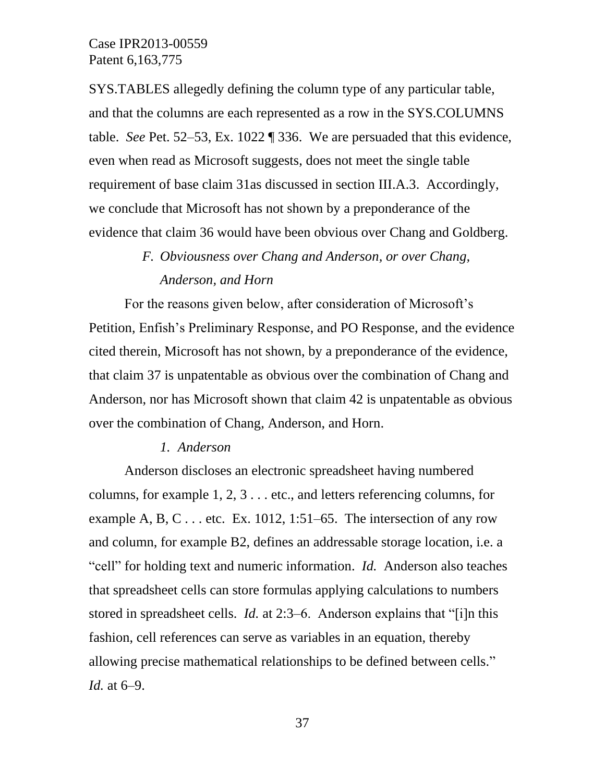SYS.TABLES allegedly defining the column type of any particular table, and that the columns are each represented as a row in the SYS.COLUMNS table. *See* Pet. 52–53, Ex. 1022 ¶ 336. We are persuaded that this evidence, even when read as Microsoft suggests, does not meet the single table requirement of base claim 31as discussed in section III.A.3. Accordingly, we conclude that Microsoft has not shown by a preponderance of the evidence that claim 36 would have been obvious over Chang and Goldberg.

# *F. Obviousness over Chang and Anderson, or over Chang, Anderson, and Horn*

For the reasons given below, after consideration of Microsoft's Petition, Enfish's Preliminary Response, and PO Response, and the evidence cited therein, Microsoft has not shown, by a preponderance of the evidence, that claim 37 is unpatentable as obvious over the combination of Chang and Anderson, nor has Microsoft shown that claim 42 is unpatentable as obvious over the combination of Chang, Anderson, and Horn.

#### *1. Anderson*

Anderson discloses an electronic spreadsheet having numbered columns, for example 1, 2, 3 . . . etc., and letters referencing columns, for example A, B, C... etc. Ex. 1012, 1:51–65. The intersection of any row and column, for example B2, defines an addressable storage location, i.e. a "cell" for holding text and numeric information. *Id.* Anderson also teaches that spreadsheet cells can store formulas applying calculations to numbers stored in spreadsheet cells. *Id.* at 2:3–6. Anderson explains that "[i]n this fashion, cell references can serve as variables in an equation, thereby allowing precise mathematical relationships to be defined between cells." *Id.* at 6–9.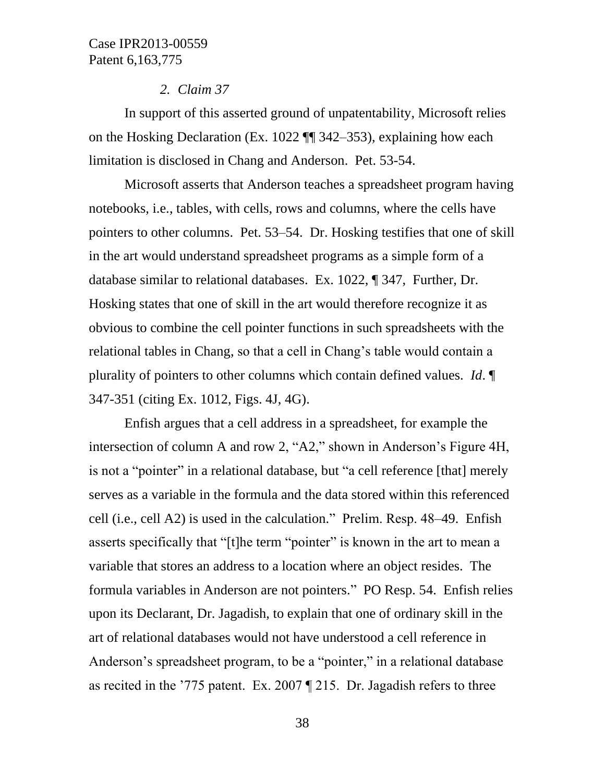#### *2. Claim 37*

In support of this asserted ground of unpatentability, Microsoft relies on the Hosking Declaration (Ex. 1022 ¶¶ 342–353), explaining how each limitation is disclosed in Chang and Anderson. Pet. 53-54.

Microsoft asserts that Anderson teaches a spreadsheet program having notebooks, i.e., tables, with cells, rows and columns, where the cells have pointers to other columns. Pet. 53–54. Dr. Hosking testifies that one of skill in the art would understand spreadsheet programs as a simple form of a database similar to relational databases. Ex. 1022, ¶ 347, Further, Dr. Hosking states that one of skill in the art would therefore recognize it as obvious to combine the cell pointer functions in such spreadsheets with the relational tables in Chang, so that a cell in Chang's table would contain a plurality of pointers to other columns which contain defined values. *Id*. ¶ 347-351 (citing Ex. 1012, Figs. 4J, 4G).

Enfish argues that a cell address in a spreadsheet, for example the intersection of column A and row 2, "A2," shown in Anderson's Figure 4H, is not a "pointer" in a relational database, but "a cell reference [that] merely serves as a variable in the formula and the data stored within this referenced cell (i.e., cell A2) is used in the calculation." Prelim. Resp. 48–49. Enfish asserts specifically that "[t]he term "pointer" is known in the art to mean a variable that stores an address to a location where an object resides. The formula variables in Anderson are not pointers." PO Resp. 54. Enfish relies upon its Declarant, Dr. Jagadish, to explain that one of ordinary skill in the art of relational databases would not have understood a cell reference in Anderson's spreadsheet program, to be a "pointer," in a relational database as recited in the '775 patent. Ex. 2007 ¶ 215. Dr. Jagadish refers to three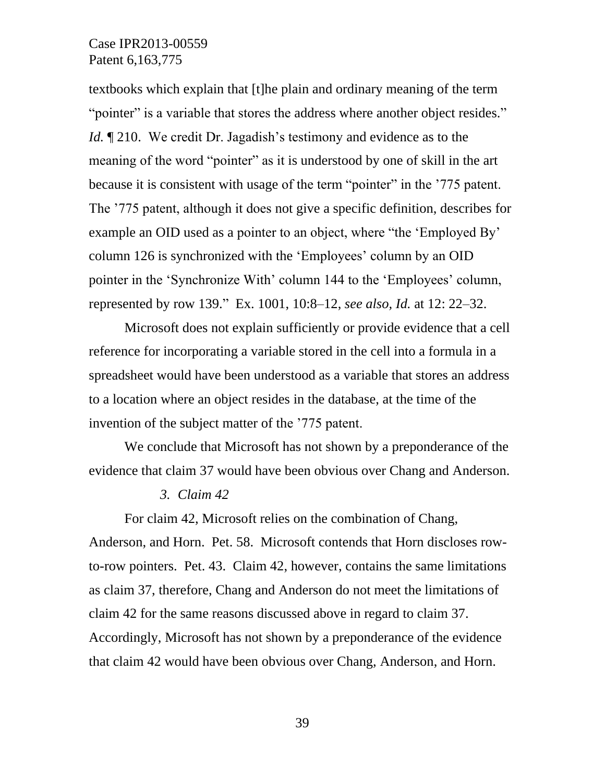textbooks which explain that [t]he plain and ordinary meaning of the term "pointer" is a variable that stores the address where another object resides." *Id.* 1210. We credit Dr. Jagadish's testimony and evidence as to the meaning of the word "pointer" as it is understood by one of skill in the art because it is consistent with usage of the term "pointer" in the '775 patent. The '775 patent, although it does not give a specific definition, describes for example an OID used as a pointer to an object, where "the 'Employed By' column 126 is synchronized with the 'Employees' column by an OID pointer in the 'Synchronize With' column 144 to the 'Employees' column, represented by row 139." Ex. 1001, 10:8–12, *see also, Id.* at 12: 22–32.

Microsoft does not explain sufficiently or provide evidence that a cell reference for incorporating a variable stored in the cell into a formula in a spreadsheet would have been understood as a variable that stores an address to a location where an object resides in the database, at the time of the invention of the subject matter of the '775 patent.

We conclude that Microsoft has not shown by a preponderance of the evidence that claim 37 would have been obvious over Chang and Anderson.

#### *3. Claim 42*

For claim 42, Microsoft relies on the combination of Chang, Anderson, and Horn. Pet. 58. Microsoft contends that Horn discloses rowto-row pointers. Pet. 43. Claim 42, however, contains the same limitations as claim 37, therefore, Chang and Anderson do not meet the limitations of claim 42 for the same reasons discussed above in regard to claim 37. Accordingly, Microsoft has not shown by a preponderance of the evidence that claim 42 would have been obvious over Chang, Anderson, and Horn.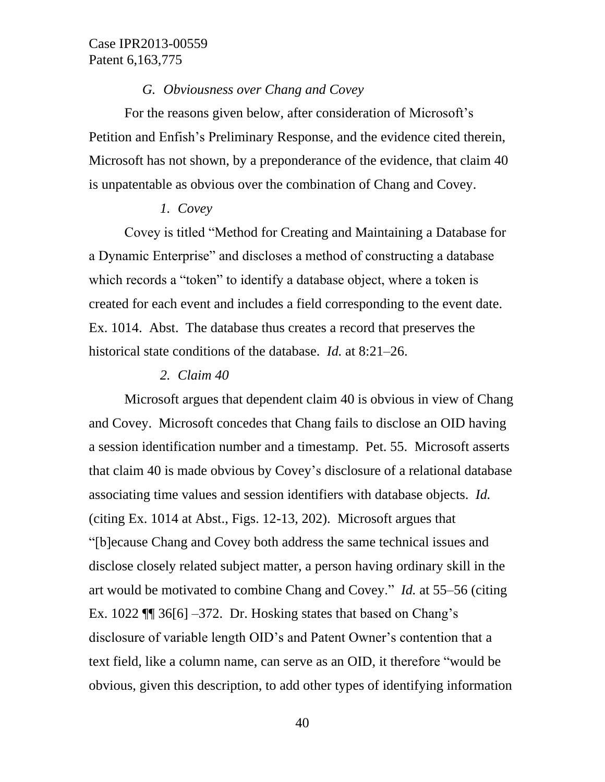#### *G. Obviousness over Chang and Covey*

For the reasons given below, after consideration of Microsoft's Petition and Enfish's Preliminary Response, and the evidence cited therein, Microsoft has not shown, by a preponderance of the evidence, that claim 40 is unpatentable as obvious over the combination of Chang and Covey.

#### *1. Covey*

Covey is titled "Method for Creating and Maintaining a Database for a Dynamic Enterprise" and discloses a method of constructing a database which records a "token" to identify a database object, where a token is created for each event and includes a field corresponding to the event date. Ex. 1014. Abst. The database thus creates a record that preserves the historical state conditions of the database. *Id.* at 8:21–26.

#### *2. Claim 40*

Microsoft argues that dependent claim 40 is obvious in view of Chang and Covey. Microsoft concedes that Chang fails to disclose an OID having a session identification number and a timestamp. Pet. 55. Microsoft asserts that claim 40 is made obvious by Covey's disclosure of a relational database associating time values and session identifiers with database objects. *Id.* (citing Ex. 1014 at Abst., Figs. 12-13, 202). Microsoft argues that "[b]ecause Chang and Covey both address the same technical issues and disclose closely related subject matter, a person having ordinary skill in the art would be motivated to combine Chang and Covey." *Id.* at 55–56 (citing Ex. 1022  $\P$  36[6] –372. Dr. Hosking states that based on Chang's disclosure of variable length OID's and Patent Owner's contention that a text field, like a column name, can serve as an OID, it therefore "would be obvious, given this description, to add other types of identifying information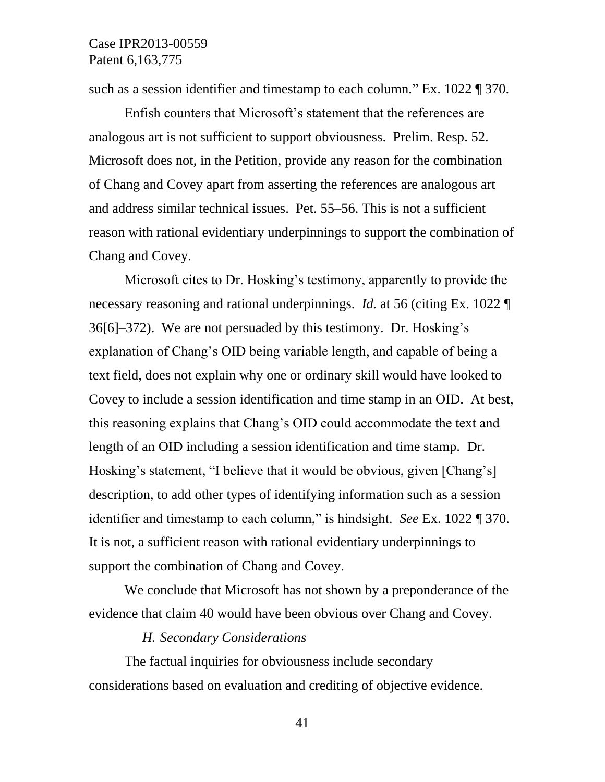such as a session identifier and timestamp to each column." Ex. 1022 ¶ 370.

Enfish counters that Microsoft's statement that the references are analogous art is not sufficient to support obviousness. Prelim. Resp. 52. Microsoft does not, in the Petition, provide any reason for the combination of Chang and Covey apart from asserting the references are analogous art and address similar technical issues. Pet. 55–56. This is not a sufficient reason with rational evidentiary underpinnings to support the combination of Chang and Covey.

Microsoft cites to Dr. Hosking's testimony, apparently to provide the necessary reasoning and rational underpinnings. *Id.* at 56 (citing Ex. 1022 ¶ 36[6]–372). We are not persuaded by this testimony. Dr. Hosking's explanation of Chang's OID being variable length, and capable of being a text field, does not explain why one or ordinary skill would have looked to Covey to include a session identification and time stamp in an OID. At best, this reasoning explains that Chang's OID could accommodate the text and length of an OID including a session identification and time stamp. Dr. Hosking's statement, "I believe that it would be obvious, given [Chang's] description, to add other types of identifying information such as a session identifier and timestamp to each column," is hindsight. *See* Ex. 1022 ¶ 370. It is not, a sufficient reason with rational evidentiary underpinnings to support the combination of Chang and Covey.

We conclude that Microsoft has not shown by a preponderance of the evidence that claim 40 would have been obvious over Chang and Covey.

#### *H. Secondary Considerations*

The factual inquiries for obviousness include secondary considerations based on evaluation and crediting of objective evidence.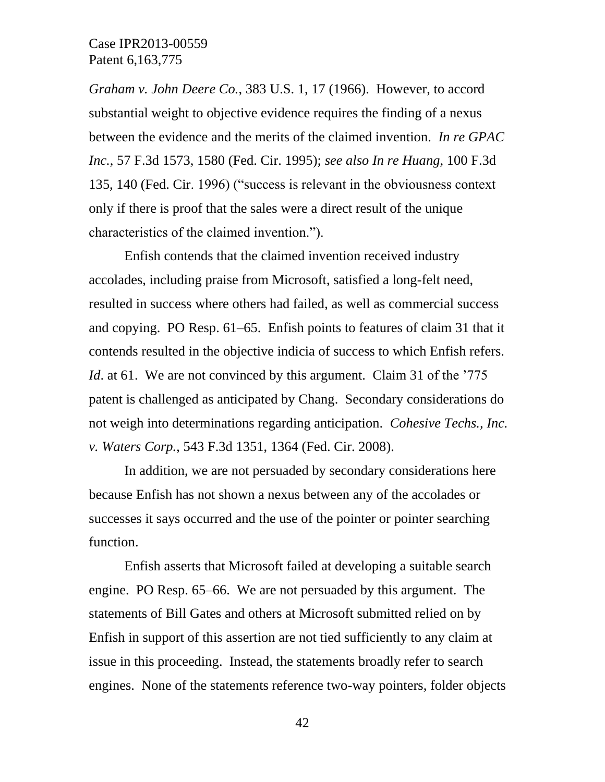*Graham v. John Deere Co.*, 383 U.S. 1, 17 (1966). However, to accord substantial weight to objective evidence requires the finding of a nexus between the evidence and the merits of the claimed invention. *In re GPAC Inc.*, 57 F.3d 1573, 1580 (Fed. Cir. 1995); *see also In re Huang*, 100 F.3d 135, 140 (Fed. Cir. 1996) ("success is relevant in the obviousness context only if there is proof that the sales were a direct result of the unique characteristics of the claimed invention.").

Enfish contends that the claimed invention received industry accolades, including praise from Microsoft, satisfied a long-felt need, resulted in success where others had failed, as well as commercial success and copying. PO Resp. 61–65. Enfish points to features of claim 31 that it contends resulted in the objective indicia of success to which Enfish refers. *Id.* at 61. We are not convinced by this argument. Claim 31 of the '775 patent is challenged as anticipated by Chang. Secondary considerations do not weigh into determinations regarding anticipation. *Cohesive Techs., Inc. v. Waters Corp.*, 543 F.3d 1351, 1364 (Fed. Cir. 2008).

In addition, we are not persuaded by secondary considerations here because Enfish has not shown a nexus between any of the accolades or successes it says occurred and the use of the pointer or pointer searching function.

Enfish asserts that Microsoft failed at developing a suitable search engine. PO Resp. 65–66. We are not persuaded by this argument. The statements of Bill Gates and others at Microsoft submitted relied on by Enfish in support of this assertion are not tied sufficiently to any claim at issue in this proceeding. Instead, the statements broadly refer to search engines. None of the statements reference two-way pointers, folder objects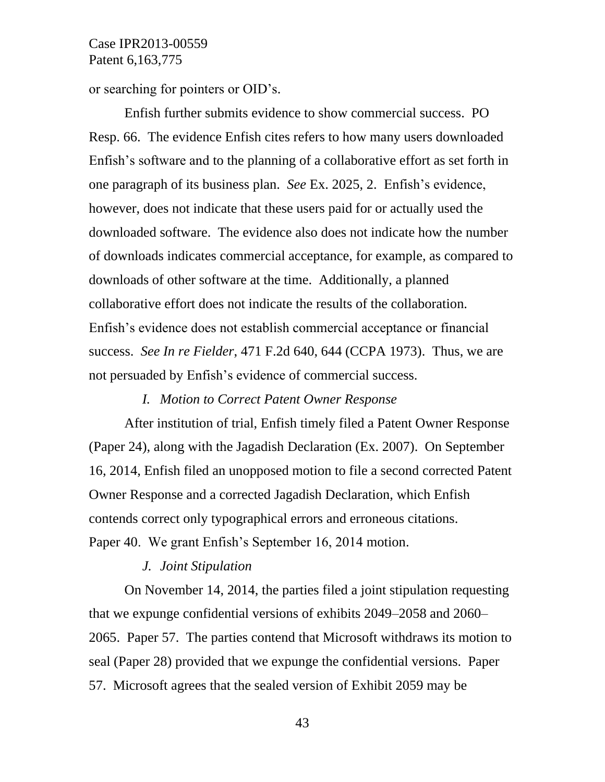or searching for pointers or OID's.

Enfish further submits evidence to show commercial success. PO Resp. 66. The evidence Enfish cites refers to how many users downloaded Enfish's software and to the planning of a collaborative effort as set forth in one paragraph of its business plan. *See* Ex. 2025, 2. Enfish's evidence, however, does not indicate that these users paid for or actually used the downloaded software. The evidence also does not indicate how the number of downloads indicates commercial acceptance, for example, as compared to downloads of other software at the time. Additionally, a planned collaborative effort does not indicate the results of the collaboration. Enfish's evidence does not establish commercial acceptance or financial success. *See In re Fielder*, 471 F.2d 640, 644 (CCPA 1973). Thus, we are not persuaded by Enfish's evidence of commercial success.

*I. Motion to Correct Patent Owner Response*

After institution of trial, Enfish timely filed a Patent Owner Response (Paper 24), along with the Jagadish Declaration (Ex. 2007). On September 16, 2014, Enfish filed an unopposed motion to file a second corrected Patent Owner Response and a corrected Jagadish Declaration, which Enfish contends correct only typographical errors and erroneous citations. Paper 40. We grant Enfish's September 16, 2014 motion.

#### *J. Joint Stipulation*

On November 14, 2014, the parties filed a joint stipulation requesting that we expunge confidential versions of exhibits 2049–2058 and 2060– 2065. Paper 57. The parties contend that Microsoft withdraws its motion to seal (Paper 28) provided that we expunge the confidential versions. Paper 57. Microsoft agrees that the sealed version of Exhibit 2059 may be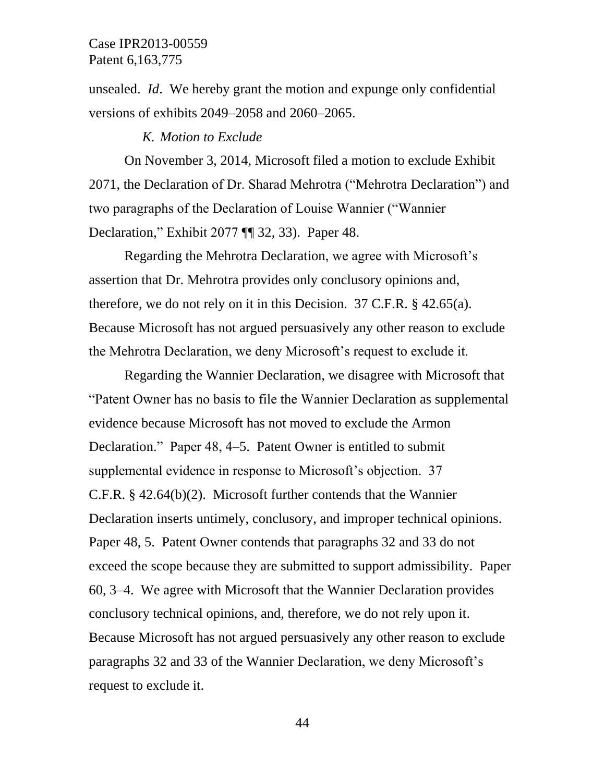unsealed. *Id*. We hereby grant the motion and expunge only confidential versions of exhibits 2049–2058 and 2060–2065.

#### *K. Motion to Exclude*

On November 3, 2014, Microsoft filed a motion to exclude Exhibit 2071, the Declaration of Dr. Sharad Mehrotra ("Mehrotra Declaration") and two paragraphs of the Declaration of Louise Wannier ("Wannier Declaration," Exhibit 2077 ¶¶ 32, 33). Paper 48.

Regarding the Mehrotra Declaration, we agree with Microsoft's assertion that Dr. Mehrotra provides only conclusory opinions and, therefore, we do not rely on it in this Decision. 37 C.F.R. § 42.65(a). Because Microsoft has not argued persuasively any other reason to exclude the Mehrotra Declaration, we deny Microsoft's request to exclude it.

Regarding the Wannier Declaration, we disagree with Microsoft that "Patent Owner has no basis to file the Wannier Declaration as supplemental evidence because Microsoft has not moved to exclude the Armon Declaration." Paper 48, 4–5. Patent Owner is entitled to submit supplemental evidence in response to Microsoft's objection. 37 C.F.R. § 42.64(b)(2). Microsoft further contends that the Wannier Declaration inserts untimely, conclusory, and improper technical opinions. Paper 48, 5. Patent Owner contends that paragraphs 32 and 33 do not exceed the scope because they are submitted to support admissibility. Paper 60, 3–4. We agree with Microsoft that the Wannier Declaration provides conclusory technical opinions, and, therefore, we do not rely upon it. Because Microsoft has not argued persuasively any other reason to exclude paragraphs 32 and 33 of the Wannier Declaration, we deny Microsoft's request to exclude it.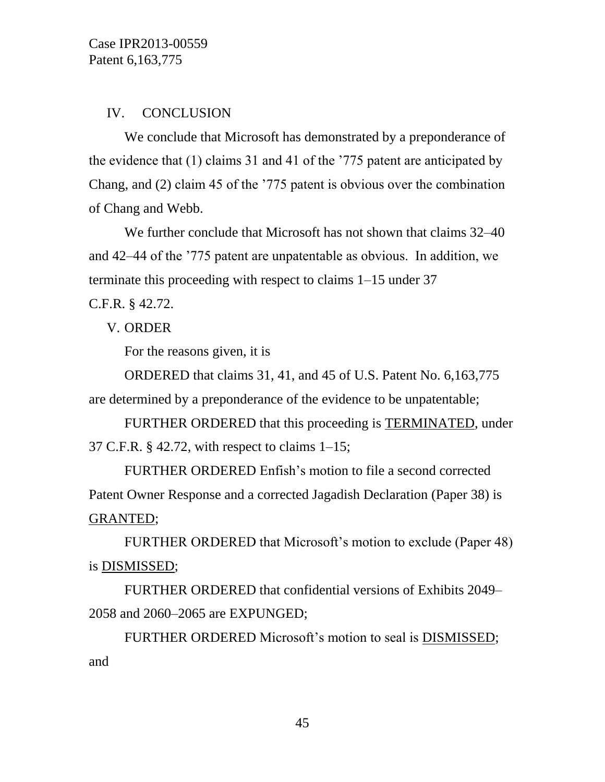#### IV. CONCLUSION

We conclude that Microsoft has demonstrated by a preponderance of the evidence that (1) claims 31 and 41 of the '775 patent are anticipated by Chang, and (2) claim 45 of the '775 patent is obvious over the combination of Chang and Webb.

We further conclude that Microsoft has not shown that claims 32–40 and 42–44 of the '775 patent are unpatentable as obvious. In addition, we terminate this proceeding with respect to claims 1–15 under 37 C.F.R. § 42.72.

V. ORDER

For the reasons given, it is

ORDERED that claims 31, 41, and 45 of U.S. Patent No. 6,163,775 are determined by a preponderance of the evidence to be unpatentable;

FURTHER ORDERED that this proceeding is TERMINATED, under 37 C.F.R. § 42.72, with respect to claims 1–15;

FURTHER ORDERED Enfish's motion to file a second corrected Patent Owner Response and a corrected Jagadish Declaration (Paper 38) is GRANTED;

FURTHER ORDERED that Microsoft's motion to exclude (Paper 48) is DISMISSED;

FURTHER ORDERED that confidential versions of Exhibits 2049– 2058 and 2060–2065 are EXPUNGED;

FURTHER ORDERED Microsoft's motion to seal is DISMISSED; and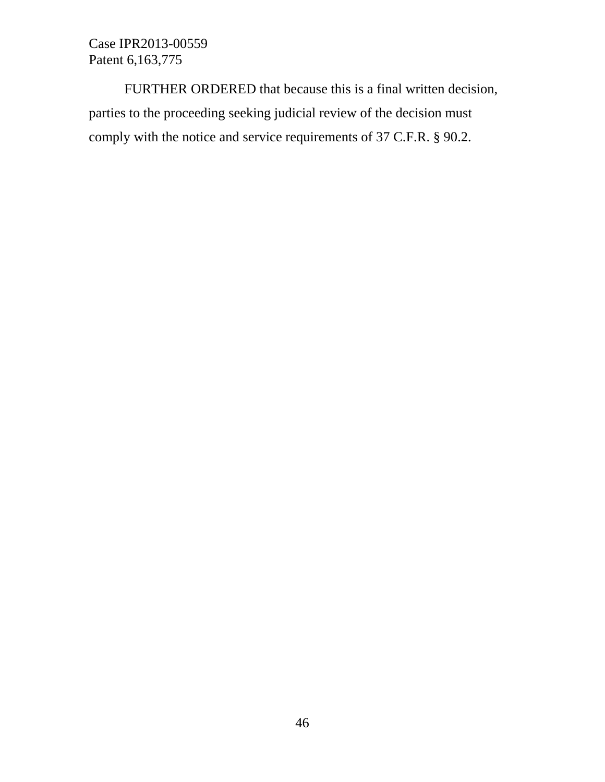FURTHER ORDERED that because this is a final written decision, parties to the proceeding seeking judicial review of the decision must comply with the notice and service requirements of 37 C.F.R. § 90.2.